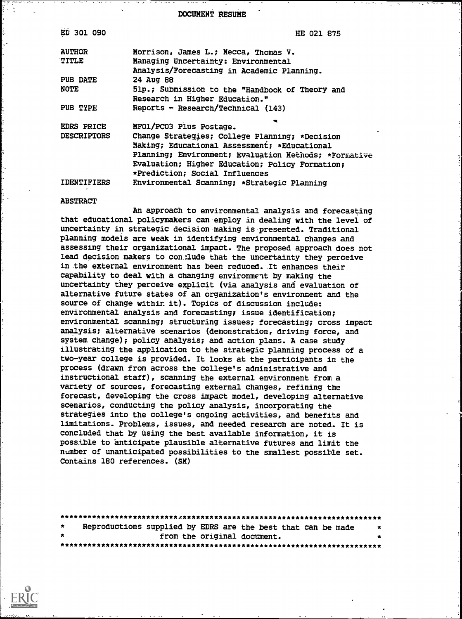DOCUMENT RESUME

| ED 301 090         | HE 021 875                                            |  |  |  |
|--------------------|-------------------------------------------------------|--|--|--|
| <b>AUTHOR</b>      | Morrison, James L.; Mecca, Thomas V.                  |  |  |  |
| TITLE              | Managing Uncertainty: Environmental                   |  |  |  |
|                    | Analysis/Forecasting in Academic Planning.            |  |  |  |
| PUB DATE           | 24 Aug 88                                             |  |  |  |
| <b>NOTE</b>        | 51p.; Submission to the "Handbook of Theory and       |  |  |  |
|                    | Research in Higher Education."                        |  |  |  |
| PUB TYPE           | Reports - Research/Technical (143)                    |  |  |  |
|                    |                                                       |  |  |  |
| EDRS PRICE         | MF01/PC03 Plus Postage.                               |  |  |  |
| <b>DESCRIPTORS</b> | Change Strategies; College Planning; *Decision        |  |  |  |
|                    | Making; Educational Assessment; *Educational          |  |  |  |
|                    | Planning; Environment; Evaluation Methods; *Formative |  |  |  |
|                    | Evaluation; Higher Education; Policy Formation;       |  |  |  |
|                    | *Prediction; Social Influences                        |  |  |  |
| <b>TDENTIFIERS</b> | Environmental Scanning; *Strategic Planning           |  |  |  |

#### ABSTRACT

An approach to environmental analysis and forecasting that educational policymakers can-employ in dealing with the level of uncertainty in strategic decision-making is-presented. Traditional planning models are weak in identifying environmental changes and assessing their organizational impact. The proposed approach does not lead decision makers to conslude that the uncertainty they perceive in the external environment has been reduced. It enhances their capability to deal with a changing environment by making the uncertainty they perceive explicit (via analysis and evaluation of alternative future states of an organization's environment and the source of change within it). Topics of discussion include: environmental analysis and forecasting; issue identification; environmental scanning; structuring issues; forecasting; cross impact analysis; alternative scenarios (demonstration, driving force, and system change); policy analysis; and action plans. A case study illustrating the application to the strategic planning process of a two-year college is provided. It looks at the participants in the process (drawn from across the college's administrative and instructional staff), scanning the external environment from a variety of sources, forecasting external changes, refining the forecast, developing the cross impact model, developing alternative scenarios, conducting the policy analysis, incorporating the strategies into the college's ongoing activities, and benefits and limitations. Problems, issues, and needed research are noted. It is concluded that by using the best available information, it is possible to anticipate plausible alternative futures and limit the number of unanticipated possibilities to the smallest possible set. Contains 180 references. (SM)

| $\star$ |  |  |  | Reproductions supplied by EDRS are the best that can be made | - 70 |  |  |
|---------|--|--|--|--------------------------------------------------------------|------|--|--|
| $\star$ |  |  |  | from the original document.                                  | ×    |  |  |
|         |  |  |  |                                                              |      |  |  |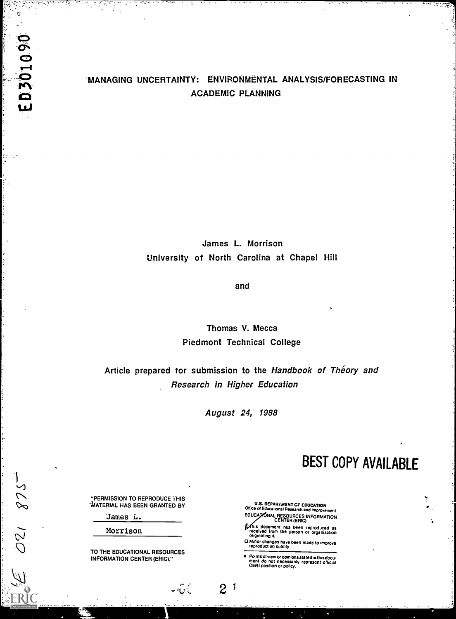021 875

 $\ddot{\circ}$ 

# MANAGING UNCERTAINTY: ENVIRONMENTAL ANALYSIS/FORECASTING IN ACADEMIC PLANNING

James L. Morrison University of North Carolina at Chapel Hill

and

Thomas V. Mecca Piedmont Technical College

Article prepared for submission to the Handbook of Theory and Research in Higher Education

August 24, 1988

# BEST COPY AVAILABLE

"PERMISSION TO REPRODUCE THIS MATERIAL HAS BEEN GRANTED BY

James L.

Morrison

TO THE EDUCATIONAL RESOURCES INFORMATION CENTER (ERIC)."

U.S. DEPARTMENT CF EDUCATION Office of Educational Research and Improvement EDUCAP6NAL RESOURCES INFORMATION CENTER (ERIC)

his document has been reproduced as received from the person or organization originating st.

O Minor changes have been made to improve reproduction duality

Points of view or opinions stated in this docu- ment do not necessarily represent official OERI position or policy,

 $2^{1}$ 

-ပါး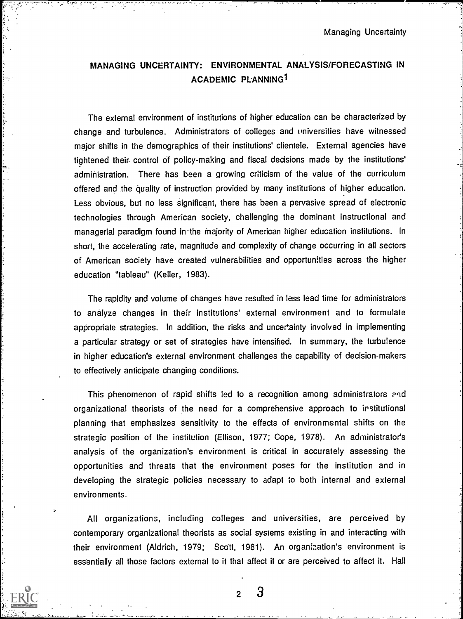# MANAGING UNCERTAINTY: ENVIRONMENTAL ANALYSIS/FORECASTING IN ACADEMIC PLANNING1

The external environment of institutions of higher education can be characterized by change and turbulence. Administrators of colleges and nniversities have witnessed major shifts in the demographics of their institutions' clientele. External agencies have tightened their control of policy-making and fiscal decisions made by the institutions' administration. There has been a growing criticism of the value of the curriculum offered and the quality of instruction provided by many institutions of higher education. Less obvious, but no less significant, there has been a pervasive spread of electronic technologies through American society, challenging the dominant instructional and managerial paradigm found in the majority of American higher education institutions. In short, the accelerating rate, magnitude and complexity of change occurring in all sectors of American society have created vulnerabilities and opportunities across the higher education "tableau" (Keller, 1983).

The rapidity and volume of changes have resulted in less lead time for administrators to analyze changes in their institutions' external environment and to formulate appropriate strategies. In addition, the risks and uncertainty involved in implementing a particular strategy or set of strategies have intensified. In summary, the turbulence in higher education's external environment challenges the capability of decision-makers to effectively anticipate changing conditions.

This phenomenon of rapid shifts led to a recognition among administrators and organizational theorists of the need for a comprehensive approach to institutional planning that emphasizes sensitivity to the effects of environmental shifts on the strategic position of the institution (Ellison, 1977; Cope, 1978). An administrator's analysis of the organization's environment is critical in accurately assessing the opportunities and threats that the environment poses for the institution and in developing the strategic policies necessary to adapt to both internal and external environments.

All organizations, including colleges and universities, are perceived by contemporary organizational theorists as social systems existing in and interacting with their environment (Aldrich, 1979; Scott, 1981). An organization's environment is essentially all those factors external to it that affect it or are perceived to affect it. Hall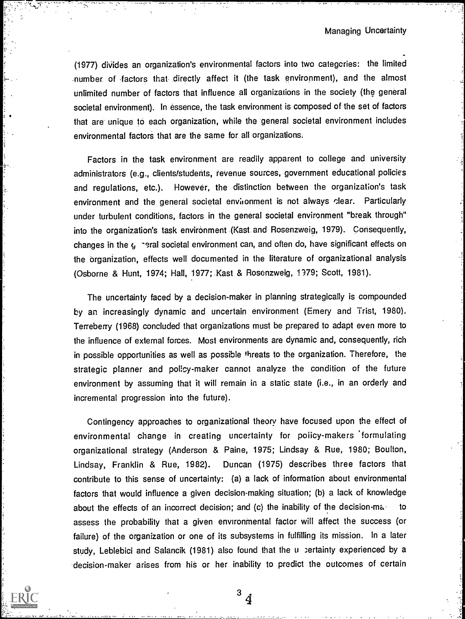(1977) diVides an organization's environmental factors into two categories: the limited number, of -factors that- directly affect it (the task environment), and the almost unlimited number of factors that influence all organizations in the society (the general societal environment). In essence, the task environment is composed of the set of factors that are' unique to each organization, while the general societal environment includes environmental factors that are the same for all organizations.

Factors in the task environment are readily apparent to college and university administrators (e.g., clients/students, revenue sources, government educational policies and regulations, etc.). However, the distinction between the organization's task environment and the general societal environment is not always clear. Particularly under turbulent conditions, factors in the general societal environment "break through" into the organization's task environment (Kast and Rosenzweig, 1979). Consequently, changes in the  $g$  -9ral societal environment can, and often do, have significant effects on the organization, effects well documented in the literature of organizational analysis (Osborne & Hunt, 1974; Hall, 1977; Kast & Rosenzweig, 1179; Scott, 1981).

The uncertainty faced by a decision-maker in planning strategically is compounded by an increasingly dynamic and uncertain environment (Emery and Trist, 1980). Terreberry (1968) concluded that organizations must be prepared to adapt even more to the influence of external forces. Most environments are dynamic and, consequently, rich in possible opportunities as well as possible threats to the organization. Therefore, the strategic planner and policy-maker cannot analyze the condition of the future environment by assuming that it will remain in a static state (i.e., in an orderly and incremental progression into the future).

Contingency approaches to organizational theory have focused upon the effect of environmental change in creating uncertainty for poiicy-makers 'formulating organizational strategy (Anderson & Paine, 1975; Lindsay & Rue, 1980; Boulton, Lindsay, Franklin & Rue, 1982). Duncan (1975) describes three factors that contribute to this sense of uncertainty: (a) a lack of information about environmental factors that would influence a given decision-making situation; (b) a lack of knowledge about the effects of an incorrect decision; and (c) the inability of the decision-man to assess the probability that a given environmental factor will affect the success (or failure) of the organization or one of its subsystems in fulfilling its mission. In a later study, Leblebici and Salancik (1981) also found that the u certainty experienced by a decision-maker arises from his or her inability to predict the outcomes of certain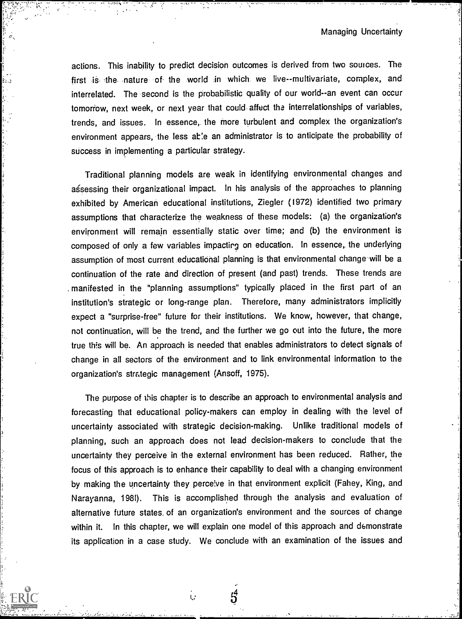actions. This inability to predict decision outcomes is derived from two sources. The first is the nature of the world in which we live--multivariate, complex, and interrelated. The second is the probabilistic quality of our world--an event can occur tomorrow, next week, or next year that could affect the interrelationships of variables. trends, and issues. In essence, the more turbulent and complex the organization's environment appears, the less at 'e an administrator is to anticipate the probability of success in implementing a particular strategy.

š,

Traditional planning models are weak in identifying environmental changes and assessing their organizational impact. In his analysis of the approaches to planning exhibited by American educational institutions, Ziegler (1972) identified two primary assumptions that characterize the weakness of these models: (a) the organization's environment will remain essentially static over time; and (b) the environment is composed of only a few variables impactirg on education. In essence, the underlying assumption of most current educational planning is that environmental change will be a continuation of the rate and direction of present (and past) trends. These trends are manifested in the "planning assumptions" typically placed in the first part of an institution's strategic or long-range plan. Therefore, many administrators implicitly expect a "surprise-free" future for their institutions. We know, however, that change, not continuation, will be the trend, and the further we go out into the future, the more true this will be. An approach is needed that enables administrators to detect signals of change in all sectors of the environment and to link environmental information to the organization's strategic management (Ansoff, 1975).

The purpose of this chapter is to describe an approach to environmental analysis and forecasting that educational policy-makers can employ in dealing with the level of uncertainty associated with strategic decision-making. Unlike traditional models of planning, such an approach does not lead decision-makers to conclude that the uncertainty they perceive in the external environment has been reduced. Rather, the focus of this approach is to enhance their capability to deal with a changing environment by making the uncertainty they perceive in that environment explicit (Fahey, King, and Narayanna, 1981). This is accomplished through the analysis and evaluation of alternative future states. of an organization's environment and the sources of change within it. In this chapter, we will explain one model of this approach and demonstrate its application in a case study. We conclude with an examination of the issues and

 $\mathbb{C}^{\prime}$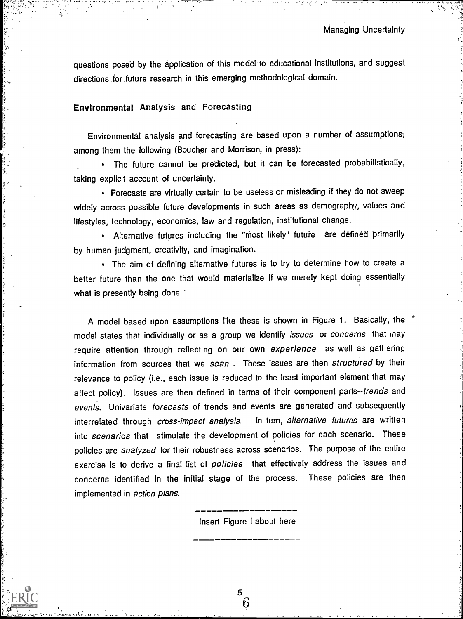questions posed by the application of this model to educational institutions, and suggest directions for future research in this emerging methodological domain.

# Environmental Analysis and Forecasting

Environmental analysis and forecasting are based upon a number of assumptions; among them the following (Boucher and Morrison, in press):

The future cannot be predicted, but it can be forecasted probabilistically, taking explicit account of uncertainty.

• Forecasts are virtually certain to be useless or misleading if they do not sweep widely across possible future developments in such areas as demography, values and lifestyles, technology, economics, law and regulation, institutional change.

. Alternative futures including the "most likely" future are defined primarily by human judgment, creativity, and imagination.

The aim of defining alternative futures is to try to determine how to create a better future than the one that would materialize if we merely kept doing essentially what is presently being done.'

A model based upon assumptions like these is shown in Figure 1. Basically, the model states that individually or as a group we identify *issues* or concerns that may require attention through reflecting on our own experience as well as gathering information from sources that we scan. These issues are then structured by their relevance to policy (i.e., each issue is reduced to the least important element that may affect policy). Issues are then defined in terms of their component parts--trends and events. Univariate forecasts of trends and events are generated and subsequently interrelated through *cross-impact analysis*. In turn, alternative futures are written into scenarios that stimulate the development of policies for each scenario. These policies are analyzed for their robustness across scenarios. The purpose of the entire exercise is to derive a final list of policies that effectively address the issues and concerns identified in the initial stage of the process. These policies are then implemented in action plans.

Insert Figure I about here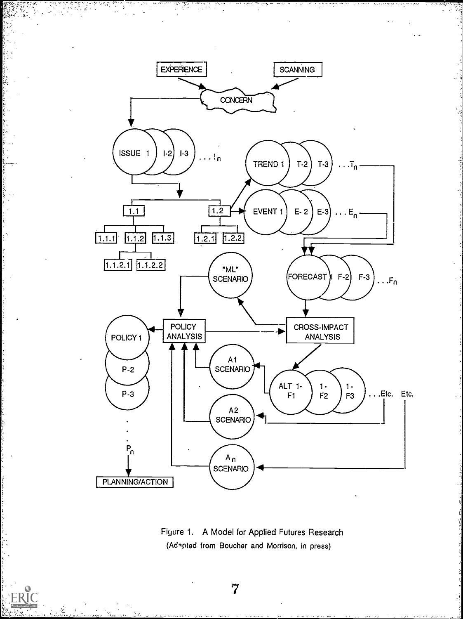

्रस्

, जेरु

Figure 1. A Model for Applied Futures Research (Adapted from Boucher and Morrison, in press)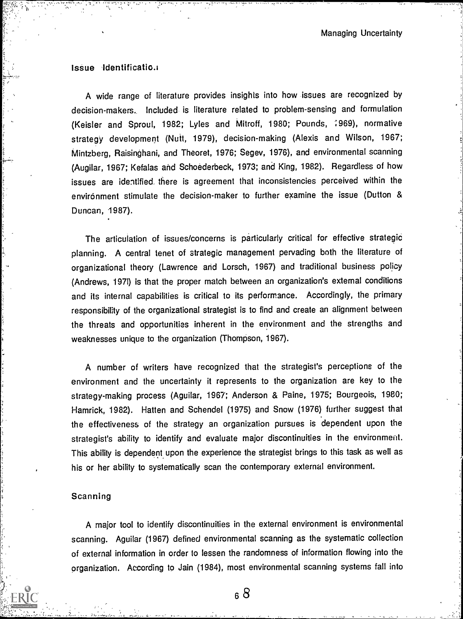# Issue Identificatio.i

A wide range of literature provides insights into how issues are recognized by decision-makers. Included is literature related to problem-sensing and formulation (Keisler and Sproul, 1982; Lyles and Mitroff, 1980; Pounds, 1969), normative strategy development (Nutt, 1979), decision-making (Alexis and Wilson, 1967; Mintzberg, Raisinghani, and Theoret, 1976; Segev, 1976), and environmental scanning (Augilar, 1967; Kefalas and Schoederbeck, 1973; and King, 1982). Regardless of how issues are identified, there is agreement that inconsistencies perceived within the environment stimulate the decision-maker to further examine the issue (Dutton & Duncan, 1987).

The articulation of issues/concerns is particularly critical for effective strategic planning. A central tenet of strategic management pervading both the literature of organizational theory (Lawrence and Lorsch, 1967) and traditional business policy (Andrews, 1971) is that the proper match between an organization's external conditions and its internal capabilities is critical to its performance. Accordingly, the primary responsibility of the organizational strategist is to find and create an alignment between the threats and opportunities inherent in the environment and the strengths and weaknesses unique to the organization (Thompson, 1967).

A number of writers have recognized that the strategist's perceptions of the environment and the uncertainty it represents to the organization are key to the strategy-making process (Aguilar, 1967; Anderson & Paine, 1975; Bourgeois, 1980; Hamrick, 1982). Hatten and Schendel (1975) and Snow (1976) further suggest that the effectiveness of the strategy an organization pursues is dependent upon the strategist's ability to identify and evaluate major discontinuities in the environment. This ability is dependent upon the experience the strategist brings to this task as well as his or her ability to systematically scan the contemporary external environment.

## Scanning

A major tool to identify discontinuities in the external environment is environmental scanning. Aguilar (1967) defined environmental scanning as the systematic collection of external information in order to lessen the randomness of information flowing into the organization. According to Jain (1984), most environmental scanning systems fall into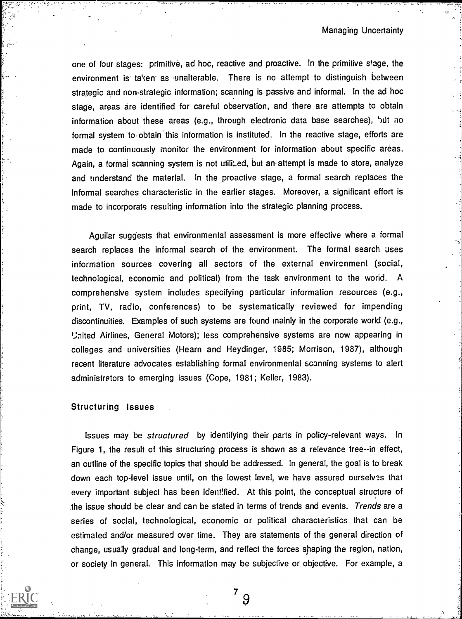#### Managing Uncertainty

૦ દ

one of four stages: primitive, ad hoc, reactive and proactive. In the primitive stage, the environment is taken as -unalterable. There is no attempt to distinguish between strategic and non-strategic information; scanning is passive and informal. In the ad hoc stage, areas are identified for careful observation, and there are attempts to obtain information about these areas (e.g., through electronic data base searches), but no formal system to obtain' this information is instituted. In the reactive stage, efforts are made to continuously monitor the environment for information about specific areas. Again, a formal scanning system is not utilized, but an attempt is made to store, analyze and understand the material. In the proactive stage, a formal search replaces the informal searches characteristic in the earlier stages. Moreover, a significant effort is made to incorporate resulting information into the strategic planning process.

Aguilar suggests that environmental assessment is more effective where a formal search replaces the informal search of the environment. The formal search uses information sources covering all sectors of the external environment (social, technological, economic and political) from the task environment to the world. A comprehensive system includes specifying particular information resources (e.g., print, TV, radio, conferences) to be systematically reviewed for impending discontinuities. Examples of such systems are found mainly in the corporate world (e.g., United Airlines, General Motors); less comprehensive systems are now appearing in colleges and universities (Hearn and Heydinger, 1985; Morrison, 1987), although recent literature advocates establishing formal environmental scanning systems to alert administrators to emerging issues (Cope, 1981; Keller, 1983).

#### Structuring Issues

ķ.

Issues may be structured by identifying their parts in policy-relevant ways. In Figure 1, the result of this structuring process is shown as a relevance tree--in effect, an outline of the specific topics that should be addressed. In general, the goal is to break down each top-level issue until, on the lowest level, we have assured ourselves that every important subject has been identified. At this point, the conceptual structure of the issue should be clear and can be stated in terms of trends and events. Trends are a series of social, technological, economic or political characteristics that can be estimated and/or measured over time. They are statements of the general direction of change, usually gradual and long-term, and reflect the forces shaping the region, nation, or society in general. This information may be subjective or objective. For example, a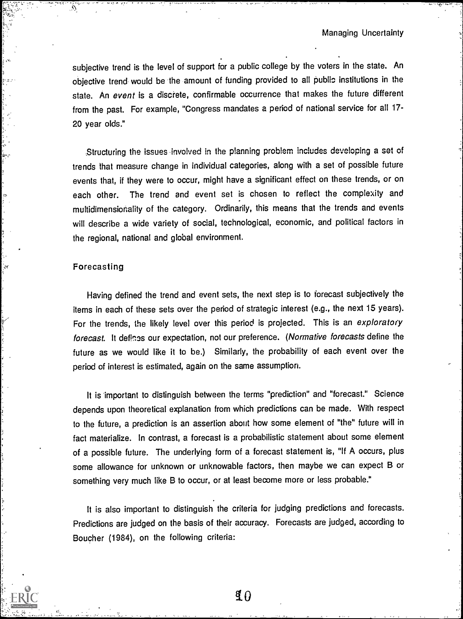subjective trend is the level of support for a public college by the voters in the state. An objective trend would be the amount of funding provided to all public institutions in the state. An event is a discrete, confirmable occurrence that makes the future different from the past. For example, "Congress mandates a period of national service for all 17- 20 year olds."

Structuring the issues involved in the planning problem includes developing a set of trends that measure change in individual categories, along with a set of possible future events that, if they were to occur, might have a significant effect on these trends, or on each other. The trend and event set is chosen to reflect the complexity and multidimensionality of the category. Ordinarily, this means that the trends and events will describe a wide variety of social, technological, economic, and political factors in the regional, national and global environment.

# Forecasting

٦ŧ.

Having defined the trend and event sets, the next step is to forecast subjectively the items in each of these sets over the period of strategic interest (e.g., the next 15 years). For the trends, the likely level over this period is projected. This is an exploratory forecast. It defines our expectation, not our preference. (Normative forecasts define the future as we would like it to be.) Similarly, the probability of each event over the period of interest is estimated, again on the same assumption.

It is 'important to distinguish between the terms "prediction" and "forecast." Science depends upon theoretical explanation from which predictions can be made. With respect to the future, a prediction is an assertion about how some element of "the" future will in fact materialize. In contrast, a forecast is a probabilistic statement about some element of a possible future. The underlying form of a forecast statement is, "If A occurs, plus some allowance for unknown or unknowable factors, then maybe we can expect B or something very much like B to occur, or at least become more or less probable."

It is also important to distinguish the criteria for judging predictions and forecasts. Predictions are judged on the basis of their accuracy. Forecasts are judged, according to Boucher (1984), on the following criteria: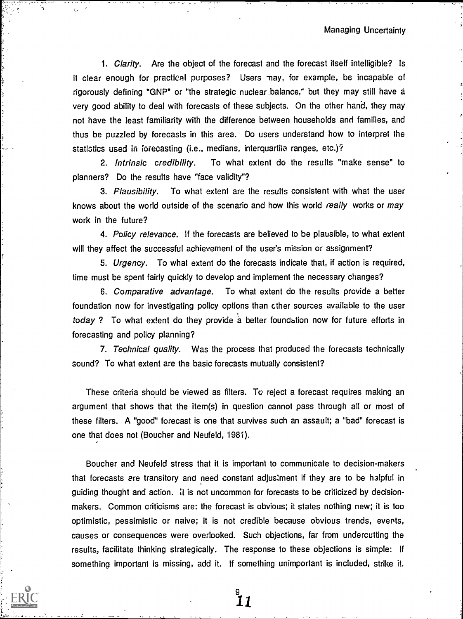1. Clarity. Are the object of the forecast and the forecast itself intelligible? Is it clear enough for practical purposes? Users may, for example, be incapable of rigorously defining "GNP" or "the strategic nuclear balance," but they may still have a very good ability to deal with forecasts of these subjects. On the other hand, they may not have the least familiarity with the difference between households and families, and thus be puzzled by forecasts in this area. Do users understand how to interpret the statistics used in forecasting (i.e., medians, interquartiia ranges, etc.)?

2. Intrinsic credibility. To what extent do the results "make sense" to planners? Do the results have "face validity"?

3. Plausibility. To what extent are the results consistent with what the user knows about the world outside of the scenario and how this world really works or may work in the future?

4. Policy relevance. If the forecasts are believed to be plausible, to what extent will they affect the successful achievement of the user's mission or assignment?

5. Urgency. To what extent do the forecasts indicate that, if action is required, time must be spent fairly quickly to develop and implement the necessary changes?

6. Comparative advantage. To what extent do the results provide a better foundation now for investigating policy options than cther sources available to the user today ? To what extent do they provide a better foundation now for future efforts in forecasting and policy planning?

7. Technical quality. Was the process that produced the forecasts technically sound? To what extent are the basic forecasts mutually consistent?

These criteria should be viewed as filters. To reject a forecast requires making an argument that shows that the item(s) in question cannot pass through all or most of these filters. A "good" forecast is one that survives such an assault; a "bad" forecast is one that does not (Boucher and Neufeld, 1981).

Boucher and Neufeld stress that it is important to communicate to decision-makers that forecasts are transitory and need constant adjustment if they are to be helpful in guiding thought and action.  $\ddot{\cdot}$  is not uncommon for forecasts to be criticized by decisionmakers. Common criticisms are: the forecast is obvious; it states nothing new; it is too optimistic, pessimistic or naive; it is not credible because obvious trends, everts, causes or consequences were overlooked. Such objections, far from undercutting the results, facilitate thinking strategically. The response to these objections is simple: If something important is missing, add it. If something unimportant is included, strike it.

。<br>11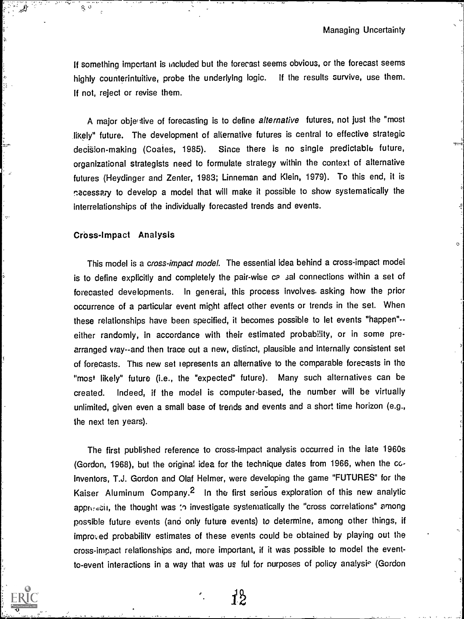If something important is included but the forecast seems obvious, or the forecast seems highly counterintuitive, probe the underlying logic. If the results survive, use them. If not, reject or revise them.

A major objentive of forecasting is to define alternative futures, not just the "most likely" future. The development of alternative futures is central to effective strategic deciSion-making (Coates, 1985). Since there is no single predictable future, organizational strategists need to formulate strategy within the context of alternative futures (Heydinger and Zenter, 1983; Linneman and Klein, 1979). To this end, it is necessary to develop a model that will make it possible to show systematically the interrelationships of the individually forecasted trends and events.

# Cross-Impact Analysis

This model is a cross-impact model. The essential idea behind a cross-impact model is to define explicitly and completely the pair-wise cal al connections within a set of forecasted developments. In general, this process involves. asking how the prior occurrence of a particular event might affect other events or trends in the set. When these relationships have been specified, it becomes possible to let events "happen"-either randomly, in accordance with their estimated probability, or in some prearranged way--and then trace out a new, distinct, plausible and internally consistent set of forecasts. This new set represents an alternative to the comparable forecasts in the "most likely" future (i.e., the "expected" future). Many such alternatives can be created. Indeed, if the model is computer,based, the number will be virtually unlimited, given even a small base of trends and events and a short time horizon (e.g., the next ten years).

The first published reference to cross-impact analysis occurred in the late 1960s (Gordon, 1968), but the original idea for the technique dates from 1966, when the coinventors, T.J. Gordon and Olaf Helmer, were developing the game "FUTURES" for the Kaiser Aluminum Company.<sup>2</sup> In the first serious exploration of this new analytic approbations" amonght was to investigate systematically the "cross correlations" among possible future events (and only future events) to determine, among other things, if impro..ed probability estimates of these events could be obtained by playing out the cross-impact relationships and, more important, if it was possible to model the eventto-event interactions in a way that was us ful for nurposes of policy analysie (Gordon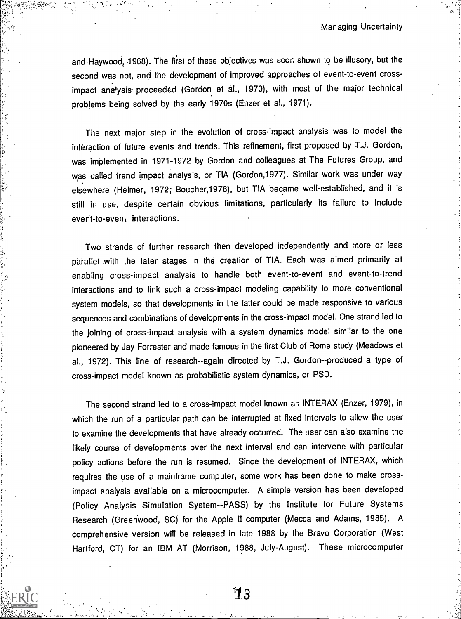and Haywood, 1968). The first of these objectives was soon shown to be illusory, but the second was not, and the development of improved approaches of event-to-event cross-, impact analysis proceeded (Gordon et al., 1970), with most of the major technical problems being solved by the early 1970s (Enzer et al., 1971).

The next major step in the evolution of cross-impact analysis was to model the interaction of future events and trends. This refinement, first proposed by T.J. Gordon, was implemented in 1971-1972 by Gordon and colleagues at The Futures Group, and was called trend impact analysis, or TIA (Gordon,1977). Similar work was under way elsewhere (Helmer, 1972; Boucher,1976), but TIA became well-established, and it is still in use, despite certain obvious limitations, particularly its failure to include event-to-even, interactions.

Two strands of further research then developed independently and more or less parallel with the later stages in the creation of TIA. Each was aimed primarily at enabling cross-impact analysis to handle both event-to-event and event-to-trend interactions and to link such a cross-impact modeling capability to more conventional system models, so that developments in the latter could be made responsive to various sequences and combinations of developments in the cross-impact model. One strand led to the joining of cross-impact analysis with a system dynamics model similar to the one pioneered by Jay Forrester and made famous in the first Club of Rome study (Meadows et al., 1972). This line of research--again directed by T.J. Gordon--produced a type of cross-impact model known as probabilistic system dynamics, or PSD.

The second strand led to a cross-impact model known as INTERAX (Enzer, 1979), in which the run of a particular path can be interrupted at fixed intervals to allcw the user to examine the developments that have already occurred. The user can also examine the likely course of developments over the next interval and can intervene with particular policy actions before the run is resumed. Since the development of INTERAX, which requires the use of a mainframe computer, some work has been done to make crossimpact analysis available on a microcomputer. A simple version has been developed (Policy Analysis Simulation System--PASS) by the Institute for Future Systems Research (Greenwood, SC) for the Apple II computer (Mecca and Adams, 1985). A comprehensive version will be released in late 1988 by the Bravo Corporation (West Hartford, CT) for an IBM AT (Morrison, 1988, July-August). These microcomputer

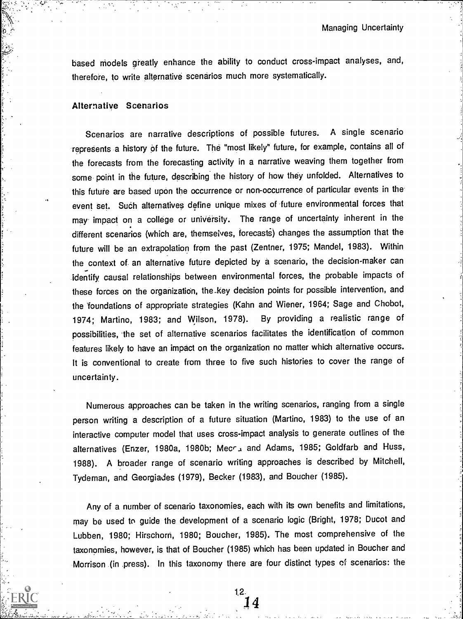based models greatly enhance the ability to conduct cross-impact analyses, and, therefore, to write alternative scenarios much more systematically.

#### Alternative Scenarios

Scenarios are narrative descriptions of possible futures. A single scenario represents a history of the future. The "most likely" future, for example, contains all of the forecasts from the forecasting activity in a narrative weaving them together from some- point in the future, describing the history of how they unfolded. Alternatives to this future are based upon the occurrence or non-occurrence of particular events in the event set. Such alternatives define unique mixes of future environmental forces that may impact on a college or university. The range of uncertainty inherent in the different scenarios (which are, themseives, forecasts) changes the assumption that the future will be an extrapolation from the past (Zentner, 1975; Mandel, 1983). Within the context of- an alternative future depicted by a scenario, the decision-maker can identify, causal relationships between environmental forces, the probable impacts of these forces on the organization, the key decision points for possible intervention, and the foundations of appropriate strategies (Kahn and Wiener, 1964; Sage and Chobot, 1974; Martino, 1983; and Wilson, 1978). By providing a realistic range of possibilities, the set of alternative scenarios facilitates the identification of common features likely to have an impact on the organization no matter which alternative occurs. It is conventional to create from three to five such histories to cover the range of uncertainty.

Numerous approaches can be taken in the writing scenarios, ranging from a single person writing a description of a future situation (Martino, 1983) to the use of an interactive computer model that uses cross-impact analysis to generate outlines of the alternatives (Enzer, 1980a, 1980b; Mecr.1 and Adams, 1985; Goldfarb and Huss, 1988). A broader range of scenario writing approaches is described by Mitchell, Tydeman, and Georgiades (1979), Becker (1983), and Boucher (1985).

Any of a number of scenario taxonomies, each with its own benefits and limitations, may be used to guide the development of a scenario logic (Bright, 1978; Ducot and Lubben, 1980; Hirschorn, 1980; Boucher, 1985). The most comprehensive of the taxonomies, however, is that of Boucher (1985) which has been updated in Boucher and Morrison (in press). In this taxonomy there are four distinct types of scenarios: the

 $12.$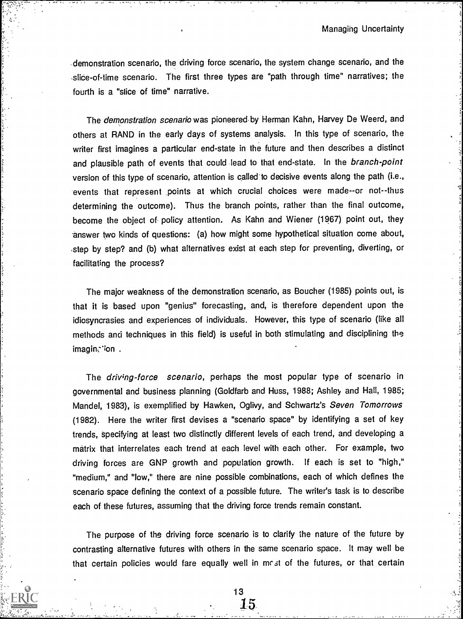demonstration scenario, the driving force scenario, the system change scenario, and the slice-of-time scenario. The first three types are "path through time" narratives; the fourth is a "slice of time" narrative.

The demonstration scenario was pioneered by Herman Kahn, Harvey De Weerd, and others at RAND in the early days of systems analysis. In this type of scenario, the writer first imagines a particular end-state in the future and then describes a distinct and plausible path of events that could lead to that end-state. In the branch-point version of this type of scenario, attention is called`to decisive events along the path (i.e., events that represent points at which crucial choices were made--or not--thus determining the outcome). Thus the branch points, rather than the final outcome, become the object of policy attention. As Kahn and Wiener (1967) point out, they answer two kinds of questions: (a) how might some hypothetical situation come about, step by step? and (b) what alternatives exist at each step for preventing, diverting, or facilitating the process?

The major weakness of the demonstration scenario, as Boucher (1985) points out, is that it is based upon "genius" forecasting, and, is therefore dependent upon the idiosyncrasies and experiences of individuals. However, this type of scenario (like all methods and techniques in this field) is useful in both stimulating and disciplining the imagin: 'ion .

The driving-force scenario, perhaps the most popular type of scenario in governmental and business planning (Goldfarb and Huss, 1988; Ashley and Hall, 1985; Mandel, 1983), is exemplified by Hawken, Oglivy, and Schwartz's Seven Tomorrows (1982). Here the writer first devises a "scenario space" by identifying a set of key trends, specifying at least two distinctly different levels of each trend, and developing a matrix that interrelates each trend at each level with each other. For example, two driving forces are GNP growth and population growth. If each is set to "high," "medium," and "low," there are nine possible combinations, each of which defines the scenario space defining the context of a possible future. The writer's task is to describe each of these futures, assuming that the driving force trends remain constant.

The purpose of the driving force scenario is to clarify the nature of the future by contrasting alternative futures with others in the same scenario space. It may well be that certain policies would fare equally well in mest of the futures, or that certain

13<br>15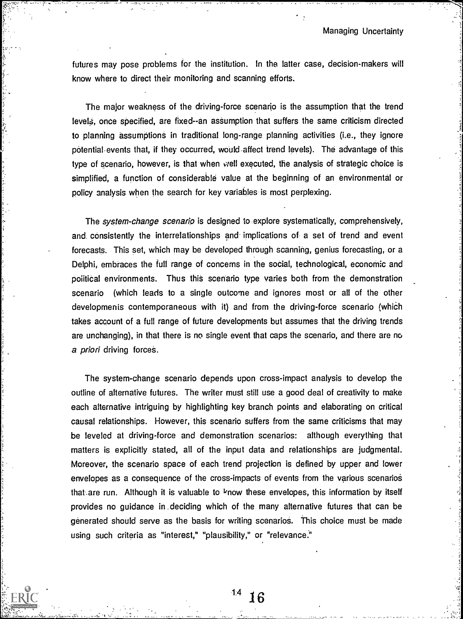futures may pose problems for the institution. In the latter case, decision-makers will know where to direct their monitoring and scanning efforts.

The major weakness of the driving-force scenario is the assumption that the trend levels, once specified, are fixed--an assumption that suffers the same criticism directed to planning assumptions in traditional long-range planning activities (i.e., they ignore potential-events that, if they occurred, would-affect trend levels). The advantage of this type of scenario, however, is that when well executed, the analysis of strategic choice is simplified, a function of considerable value at the beginning of an environmental or policy analysis when the search for key variables is most perplexing.

The system-change scenario is designed to explore systematically, comprehensively, and consistently the interrelationships and implications of a set of trend and event forecasts. This set, which may be developed through scanning, genius forecasting, or a Delphi, embraces the full range of concerns in the social, technological, economic and poiitical environments. Thus this scenario type varies both from the demonstration scenario (which leads to a single outcome and ignores most or all of the other developments contemporaneous with it) and from the driving-force scenario (which takes account of a full range of future developments but assumes that the driving trends are unchanging), in that there is no single event that caps the scenario, and there are no a priori driving forces.

The system-change scenario depends upon cross-impact analysis to develop the outline of alternative futures. The writer must still use a good deal of creativity to make each alternative intriguing by highlighting key branch points and elaborating on critical causal relationships. However, this scenario suffers from the same criticisms that may be leveled at driving-force and demonstration scenarios: although everything that matters is explicitly stated, all of the input data and relationships are judgmental. Moreover, the scenario space of each trend projection is defined by upper and lower envelopes as a consequence of the cross-impacts of events from the various scenarios that are run. Although it is valuable to know these envelopes, this information by itself provides no guidance in deciding which of the many alternative futures that can be generated should serve as the basis for writing scenarios. This choice must be made using such criteria as "interest," "plausibility," or "relevance."

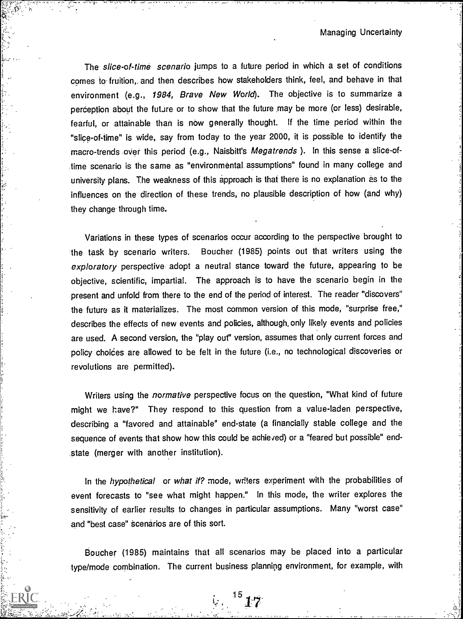#### Managing Uncertainty

The slice-of-time scenario jumps to a future period in which a set of conditions comes to fruition,, and then describes how stakeholders think, feel, and behave in that environment (e.g., 1984, Brave New World). The objective is to summarize a perception about the future or to show that the future may be more (or less) desirable, fearful, or attainable than is now generally thought. If the time period within the "slice-of-time" is wide, say from today to the year 2000, it is possible to identify the macro-trends over this period (e.g., Naisbitt's Megatrends). In this sense a slice-oftime scenario is the same as "environmental assumptions" found in many college and university plans. The weakness of this approach is that there is no explanation as to the influences on the direction of these trends, no plausible description of how (and why) they change- through time.

تريخ<br>م

Variations in these types of scenarios occur according to the perspective brought to the task by scenario writers. Boucher (1985) points out that writers using the exploratory perspective adopt a neutral stance toward the future, appearing to be objective, scientific, impartial. The approach is to have the scenario begin in the present and unfold from there to the end of the period of interest. The reader "discovers" the future as it materializes. The most common version of this mode, "surprise free," describes the effects of new events and policies, although, only likely events and policies are used. A second version, the "play out" version, assumes that only current forces and policy choićes are allowed to be felt in the future (i.e., no technological discoveries or revolutions are permitted).

Writers using the normative perspective focus on the question, "What kind of future might we have?" They respond to this question from a value-laden perspective, describing a "favored and attainable" end-state (a financially stable college and the sequence of events that show how this could be achieved) or a "feared but possible" endstate (merger with another institution).

In the hypothetical or what if? mode, writers experiment with the probabilities of event forecasts to "see what might happen." In this mode, the writer explores the sensitivity of earlier results to changes in particular assumptions. Many "worst case" and "best case" scenarios are of this sort.

Boucher (1985) maintains that all scenarios may be placed into a particular type/mode combination. The current business planning environment, for example, with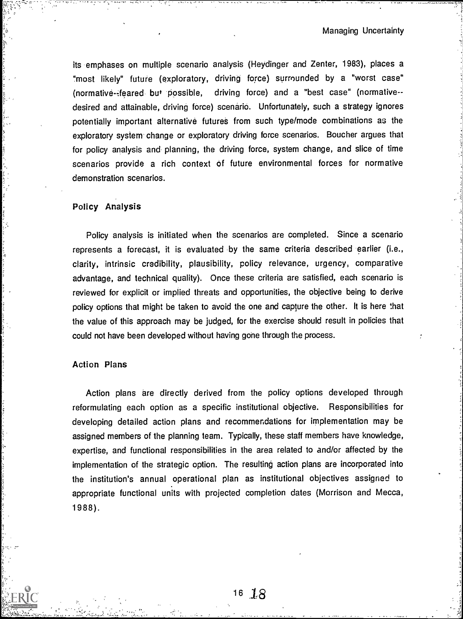its emphases on multiple scenario analysis (Heydinger and Zenter, 1983), places a most likely" future (exploratory, driving force) surrounded by a "worst case" (normative--feared but possible, driving force) and a "best case" (normative-desired and attainable, driving force) scenario. Unfortunately, such a strategy ignores potentially important alternative futures from such type/mode combinations as the exploratory system change or exploratory driving force scenarios. Boucher argues that for policy analysis and planning, the driving force, system change, and slice of time scenarios provide a rich context of future environmental forces for normative demonstration scenarios.

## Policy Analysis

Policy analysis is initiated when the scenarios are completed. Since a scenario represents a forecast, it is evaluated by the same criteria described earlier (i.e., clarity, intrinsic credibility, plausibility, policy relevance, urgency, comparative advantage, and technical quality). Once these criteria are satisfied, each scenario is reviewed for explicit or implied threats and opportunities, the objective being to derive policy options that might be taken to avoid the one and capture the other. It is here that the value of this approach may be judged, for the exercise should result in policies that could not have been developed without having gone through the process.

#### Action Plans

:p

Action plans are directly derived from the policy options developed through reformulating each option as a specific institutional objective. Responsibilities for developing detailed action plans and recommendations for implementation may be assigned members of the planning team. Typically, these staff members have knowledge, expertise, and functional responsibilities in the area related to and/or affected by the implementation of the strategic option. The resulting action plans are incorporated into the institution's annual operational plan as institutional objectives assigned to appropriate functional units with projected completion dates (Morrison and Mecca, 1988).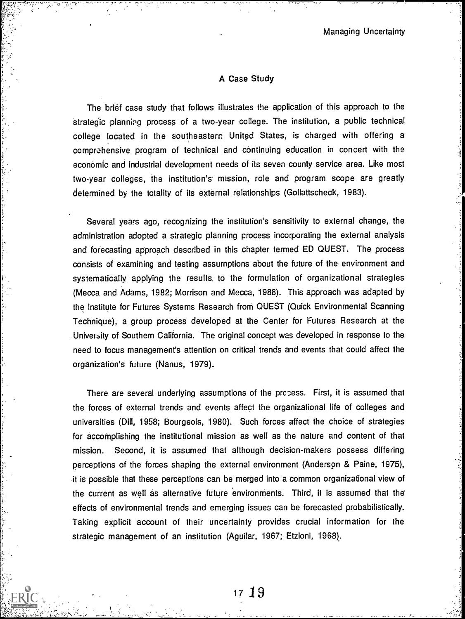# A Case Study

The brief case study that follows illustrates the application of this approach to the strategic planning process of a two-year college. The institution, a public technical college located in the southeastern United States, is charged with offering a comprehensive program of technical and continuing education in concert with the economic and industrial development needs of its seven county service area. Like most two-year colleges, the institution's' mission, role and program scope are greatly determined by the totality of its external relationships (Gollattscheck, 1983).

Several years ago, recognizing the institution's sensitivity to external change, the administration adopted a strategic planning process incorporating the external analysis and forecasting approach described in this chapter termed ED QUEST. The process consists of examining and testing assumptions about the future of the environment and systematically applying the results to the formulation of organizational strategies (Mecca and Adams, 1982; Morrison and Mecca, 1988). This approach was adapted by the Institute for Futures Systems Research from QUEST (Quick Environmental Scanning Technique), a group process developed at the Center for Futures Research at the University of Southern California. The original concept was developed in response to the need to focus management's attention on critical trends and events that could affect the organization's future (Nanus, 1979).

There are several underlying assumptions of the propess. First, it is assumed that the forces of external trends and events affect the organizational life of colleges and universities (Dill, 1958; Bourgeois, 1980). Such forces affect the choice of strategies for accomplishing the institutional mission as well as the nature and content of that mission. Second, it is assumed that although decision-makers possess differing perceptions of the forces shaping the external environment (Anderson & Paine, 1975), it is possible that these perceptions can be merged into a common organizational view of the current as well as alternative future environments. Third, it is assumed that the effects of environmental trends and emerging issues can be forecasted probabilistically. Taking explicit account of their uncertainty provides crucial information for the strategic management of an institution (Aguilar, 1967; Etzioni, 1968).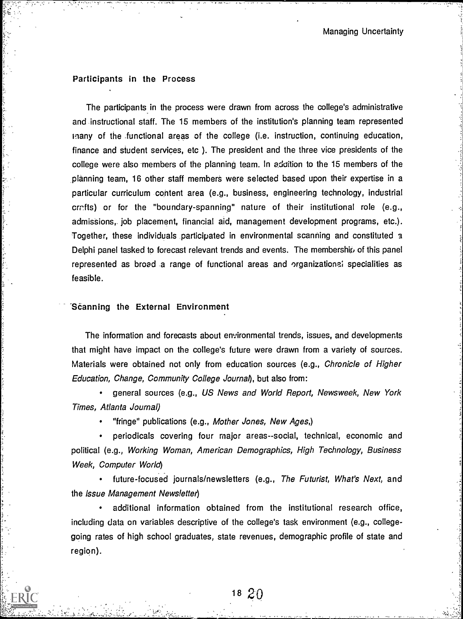# Participants in the Process

The participants in the process were drawn from across the college's administrative and instructional staff. The 15 members of the institution's planning team represented  $m$ any of the functional areas of the college (i.e. instruction, continuing education, finance and student services, etc ). The president and the three vice presidents of the college were also members of the planning team. In addition to the 15 members of the planning team, 16 other staff members were selected based upon their expertise in a particular curriculum content area (e.g., business, engineering technology, industrial crrfts) or for the "boundary-spanning" nature of their institutional role (e.g., admissions, job placement, financial aid, management development programs, etc.). Together, these individuals participated in environmental scanning and constituted a Delphi panel tasked to forecast relevant trends and events. The membership of this panel represented as broad a range of functional areas and organizational specialities as feasible.

# 'Scanning the External Environment

The information and forecasts about environmental trends, issues, and developments that might have impact on the college's future were drawn from a variety of sources. Materials were obtained not only from education sources (e.g., Chronicle of Higher Education, Change, Community College Journal), but also from:

general sources (e.g., US News and World Report, Newsweek, New York Times, Atlanta Journal)

"fringe" publications (e.g., Mother Jones, New Ages,)

periodicals covering four major areas--social, technical, economic and political (e.g., Working Woman, American Demographics, High Technology, Business Week, Computer World)

• future-focused journals/newsletters (e.g., The Futurist, What's Next, and the Issue Management Newsletter)

additional information obtained from the institutional research office, including data on variables descriptive of the college's task environment (e.g., collegegoing rates of high school graduates, state revenues, demographic profile of state and region).

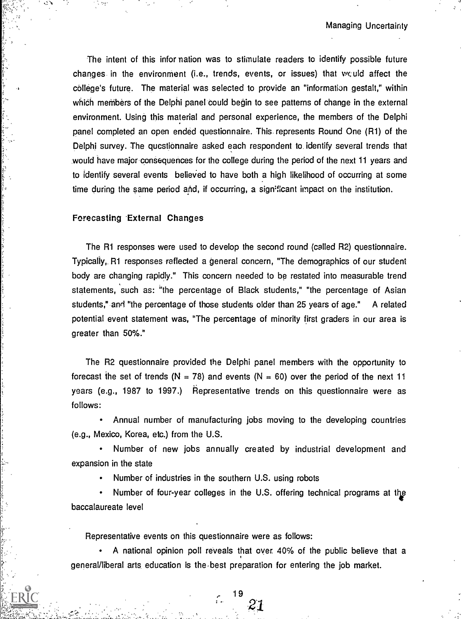The intent of this infor nation was to stimulate readers to identify possible future changes in the environment (i.e., trends, events, or issues) that would affect the college's future. The material was selected to provide an "information gestalt," within which members of the Delphi panel could begin to see patterns of change in the external environment. Using this material and personal experience, the members of the Delphi panel completed an open ended questionnaire. This, represents Round One (R1) of the Delphi survey. The questionnaire asked each respondent to identify several trends that would have major consequences for the college during the period of the next 11 years and to identify several events believed to have both a high likelihood of occurring at some time during the same period and, if occurring, a sign'ficant impact on the institution.

#### Forecasting External Changes

The R1 responses were used to develop the second round (called R2) questionnaire. Typically,. R1 responses reflected a general concern, "The demographics of our student body are changing rapidly." This concern needed to be restated into measurable trend statements, such as: "the percentage of Black students," "the percentage of Asian students," and "the percentage of those students older than 25 years of age." A related potential event statement was, "The percentage of minority first graders in our area is greater than 50%."

The R2 questionnaire provided the Delphi panel members with the opportunity to forecast the set of trends ( $N = 78$ ) and events ( $N = 60$ ) over the period of the next 11 years (e.g., 1987 to 1997.) Representative trends on this questionnaire were as follows:

 $\bullet$ Annual number of manufacturing jobs moving to the developing countries (e.g., Mexico, Korea, etc.) from the U.S.

Number of new jobs annually created by industrial development and expansion in the state

Number of industries in the southern U.S. using robots

Number of four-year colleges in the U.S. offering technical programs at the  $\bullet$ baccalaureate level

Representative events on this questionnaire were as follows:

A national opinion poll reveals that over 40% of the public believe that a general/liberal arts education is the best preparation for entering the job market.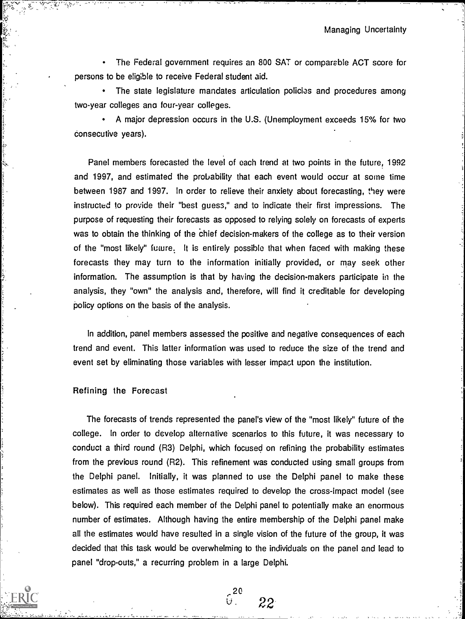The Federal government requires an 800 SAT or comparable ACT score for persons to be eligible to receive Federal student aid.

The state legislature mandates articulation policies and procedures among two-year colleges ana four-year colleges.

A major depression occurs in the U.S. (Unemployment exceeds 15% for two consecutive years).

Panel members forecasted the level of each trend at two points in the future, 1992 and 1997, and estimated the probability that each event would occur at some time between 1987 and 1997. In order to relieve their anxiety about forecasting, they were instructed to provide their "best guess," and to indicate their first impressions. The purpose of requesting their forecasts as opposed to relying solely on forecasts of experts was to obtain the thinking of the Chief decision-makers of the college as to their version of the "most likely" future. It is entirely possible that when faced with making these forecasts they may turn to the information initially provided, or may seek other information. The assumption is that by having the decision-makers participate in the analysis, they "own" the analysis and, therefore, will find it creditable for developing policy options on the basis of the analysis.

In addition, panel members assessed the positive and negative consequences of each trend and event. This latter information was used to reduce the size of the trend and event set by eliminating those variables with lesser impact upon the institution.

#### Refining the Forecast

**Contract on the Second** 

The forecasts of trends represented the panel's view of the "most likely" future of the college. In order to develop alternative scenarios to this future, it was necessary to conduct a third round (R3) Delphi, which focused on refining the probability estimates from the previous round (R2). This refinement was conducted using small groups from the Delphi panel. Initially, it was planned to use the Delphi panel to make these estimates as well as those estimates required to develop the cross-impact model (see below). This required each member of the Delphi panel to potentially make an enormous number of estimates. Although having the entire membership of the Delphi panel make all the estimates would have resulted in a single vision of the future of the group, it was decided that this task would be overwhelming to the individuals on the panel and lead to panel "drop-outs," a recurring problem in a large Delphi.

 $\overset{\circ}{\mathbb{G}}^{20}$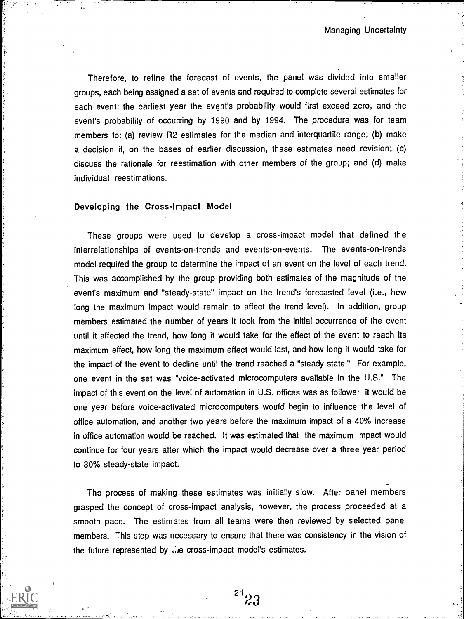Therefore, to refine the forecast of events, the panel was divided into smaller groups, each being assigned a set of events and required to complete several estimates for each event: the earliest year the event's probability would first exceed zero, and the event's probability of occurring by 1990 and by 1994. The procedure was for team members to: (a) review R2 estimates for the median and interquartile range; (b) make a decision if, on the bases of earlier discussion, these estimates need revision; (c) discuss the rationale for reestimation with other members of the group; and (d) make individual reestimations.

#### Developing the Cross-Impact Model

These groups were used to develop a cross-impact model that defined the interrelationships of events-on-trends and events-on-events. The events-on-trends model required the group to determine the impact of an event on the level of each trend. This was accomplished by the group providing both estimates of the magnitude of the event's maximum and "steady-state" impact on the trend's forecasted level (i.e., hew long the maximum impact would remain to affect the trend level). In addition, group members estimated the number of years it took from the initial occurrence of the event until it affected the trend, how long it would take for the effect of the event to reach its maximum effect, how long the maximum effect would last, and how long it would take for the impact of the event to decline until the trend reached a "steady state." For example, one event in the set was "voice-activated microcomputers available in the U.S." The impact of this event on the level of automation in U.S. offices was as follows? it would be one year before voice-activated microcomputers would begin to influence the level of office automation, and another two years before the maximum impact of a 40% increase in office automation would be reached. It was estimated that the maximum impact would continue for four years after which the impact would decrease over a three year period to 30% steady-state impact.

The process of making these estimates was initially slow. After panel members grasped the concept of cross-impact analysis, however, the process proceeded at a smooth pace. The estimates from all teams were then reviewed by selected panel members. This step was necessary to ensure that there was consistency in the vision of the future represented by  $\therefore$  ie cross-impact model's estimates.

 $^{21}$ 23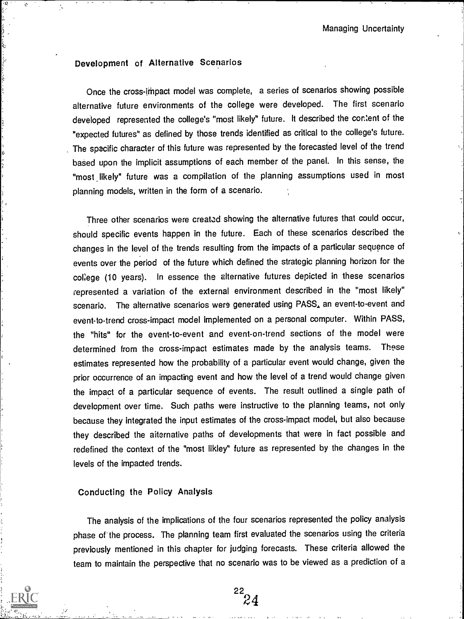# Development of Alternative Scenarios

 $\mathbf{v}_i$ 

l.

Once the cross-impact model was complete, a series of scenarios showing possible alternative future environments of the college were developed. The first scenario developed represented the college's "most likely" future. It described the cor.lent of the "expected futures" as defined by those trends identified as critical to the college's future. The specific character of this future was represented by the forecasted level of the trend based upon the implicit assumptions of each member of the panel. In this sense, the "most likely" future was a compilation of the planning assumptions used in most planning models, written in the form of a scenario.

Three other scenarios were created showing the alternative futures that could occur, should specific events happen in the future. Each of these scenarios described the changes in the level of the trends resulting from the impacts of a particular sequence of events over the period of the future which defined the strategic planning horizon for the college (10 years). In essence the alternative futures depicted in these scenarios represented a variation of the external environment described in the "most likely" scenario. The alternative scenarios were generated using PASS, an event-to-event and event-to-trend cross-impact model implemented on a personal computer. Within PASS, the "hits" for the event-to-event and event-on-trend sections of the model were determined from the cross-impact estimates made by the analysis teams. These estimates represented how the probability of a particular event would change, given the prior occurrence of an impacting event and how the level of a trend would change given the impact of a particular sequence of events. The result outlined a single path of development over time. Such paths were instructive to the planning teams, not only because they integrated the input estimates of the cross-impact model, but also because they described the aiternative paths of developments that were in fact possible and redefined the context of the "most likley" future as represented by the changes in the levels of the impacted trends.

#### Conducting the Policy Analysis

The analysis of the implications of the four scenarios represented the policy analysis phase of the process. The planning team first evaluated the scenarios using the criteria previously mentioned in this chapter for judging forecasts. These criteria allowed the team to maintain the perspective that no scenario was to be viewed as a prediction of a

 $^{22}$ 24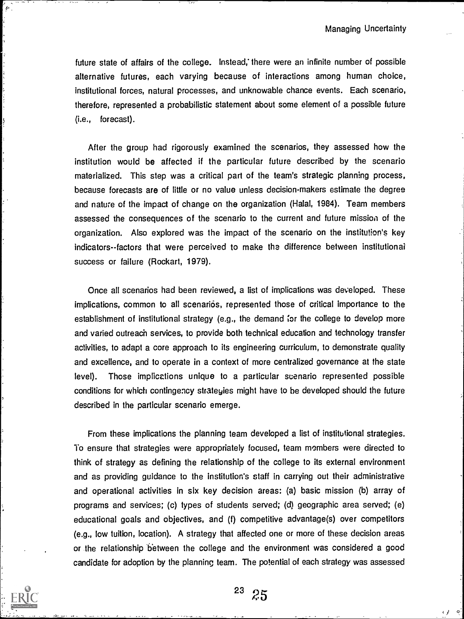$\leftarrow$ °

future state of affairs of the college. Instead; there were an infinite number of possible alternative futures, each varying because of interactions among human choice, institutional forces, natural processes, and unknowable chance events. Each scenario, therefore, represented a probabilistic statement about some element of a possible future (i.e., forecast).

After the group had rigorously examined the scenarios, they assessed how the institution would be affected if the particular future described by the scenario materialized. This step was a critical part of the team's strategic planning process, because forecasts are of little or no value unless decision-makers estimate the degree and nature of the impact of change on the organization (Halal, 1984). Team members assessed the consequences of the scenario to the current and future missioa of the organization. Also explored was the impact of the scenario on the institution's key indicators--factors that were perceived to make the difference between institutional success or failure (Rockart, 1979).

Once all scenarios had been reviewed, a list of implications was developed. These implications, common to all scenarios, represented those of critical importance to the establishment of institutional strategy (e.g., the demand for the college to develop more and varied outreach services, to provide both technical education and technology transfer activities, to adapt a core approach to its engineering curriculum, to demonstrate quality and excellence, and to operate in a context of more centralized governance at the state level). Those implications unique to a particular scenario represented possible conditions for which contingency strategies might have to be developed should the future described in the particular scenario emerge.

From these implications the planning team developed a list of institutional strategies. To ensure that strategies were appropriately focused, team members were directed to think of strategy as defining the relationship of the college to its external environment and as providing guidance to the institution's staff in carrying out their administrative and operational activities in six key decision areas: (a) basic mission (b) array of programs and services; (c) types of students served; (d) geographic area served; (e) educational goals and objectives, and (f) competitive advantage(s) over competitors (e.g., low tuition, location). A strategy that affected one or more of these decision areas or the relationship b'etween the college and the environment was considered a good candidate for adoption by the planning team. The potential of each strategy was assessed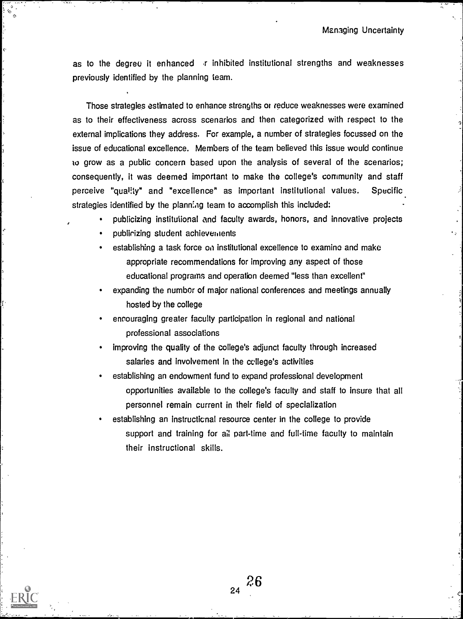as to the degreu it enhanced  $\tau$  inhibited institutional strengths and weaknesses previously identified by the planning team.

Those strategies estimated to enhance strengths or reduce weaknesses were examined as to their effectiveness across scenarios and then categorized with respect to the external implications they address. For example, a number of strategies focussed on the issue of educational excellence. Members of the team believed this issue would continue to grow as a public concern based upon the analysis of several of the scenarios; consequently, it was deemed important to make the college's community and staff perceive "quality" and "excellence" as important institutional values. Specific strategies identified by the planning team to accomplish this included:

- publicizing institutional and faculty awards, honors, and innovative projects
- publicizing student achievements
- establishing a task force on institutional excellence to examine and make appropriate recommendations for improving any aspect of those educational programs and operation deemed "less than excellent"
- expanding the numbor of major national conferences and meetings annually hosted by the college
- encouraging greater faculty participation in regional and national professional associations
- improving the quality of the college's adjunct faculty through increased salaries and involvement in the college's activities
- establishing an endowment fund to expand professional development opportunities available to the college's faculty and staff to insure that all personnel remain current in their field of specialization
- establishing an instructicnal resource center in the college to provide support and training for a<sub>n</sub> part-time and full-time faculty to maintain their instructional skills.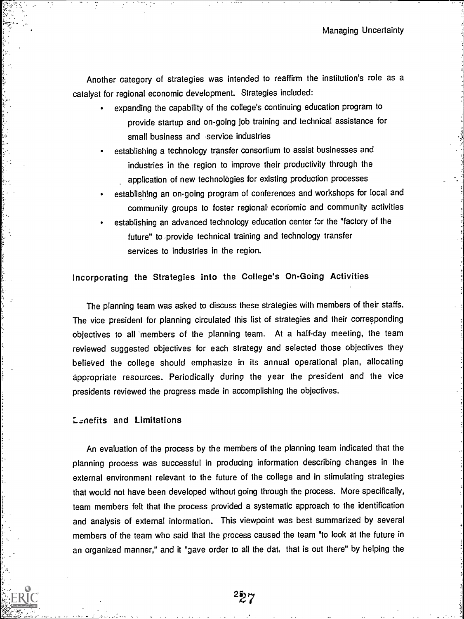-3

Another category of strategies was intended to reaffirm the institution's role as a catalyst for regional economic development. Strategies included:

- expanding the capability of the college's continuing education program to provide startup and on-going job training and technical assistance for small business and -service industries
- establishing a technology transfer consortium to assist businesses and industries in the region to improve their productivity through the application of new technologies for existing production processes
- establishing an on-going program of conferences and workshops for local and community groups to foster regional° economic and community activities
- establishing an advanced technology education center for the "factory of the future" to .provide technical training and technology transfer services to industries in the region.

# Incorporating the Strategies into the College's On-Going Activities

The planning team was asked to discuss these strategies with members of their staffs. The vice president for planning circulated this list of strategies and their corresponding objectives to all members of the planning team. At a half-day meeting, the team reviewed suggested objectives for each strategy and selected those objectives they believed the college should emphasize in its annual operational plan, allocating appropriate resources. Periodically during the year the president and the vice presidents reviewed the progress made in accomplishing the objectives.

## Lenefits and Limitations

An evaluation of the process by the members of the planning team indicated that the planning process was successful in producing information describing changes in the external environment relevant to the future of the college and in stimulating strategies that would not have been developed without going through the process. More specifically, team members felt that the process provided a systematic approach to the identification and analysis of external information. This viewpoint was best summarized by several members of the team who said that the process caused the team "to look at the future in an organized manner," and it "gave order to all the dat, that is out there" by helping the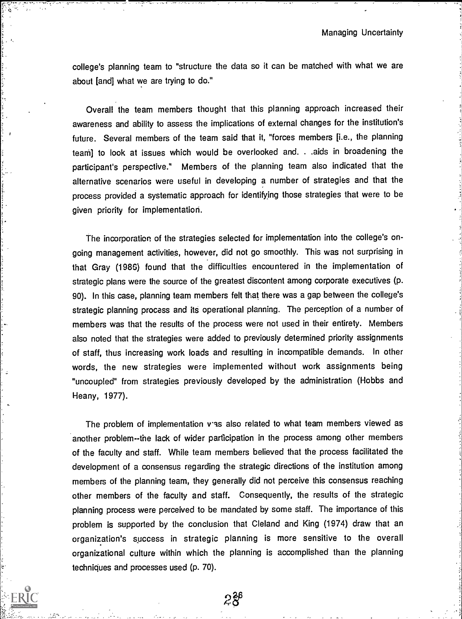college's planning team to "structure the data so it can be matched with what we are about [and] what we are trying to do."

Overall the team members thought that this planning approach increased their awareness and ability to assess the implications of external changes for the institution's future. Several members of the team said that it, "forces members [i.e., the planning team] to look at issues which would be overlooked and. . .aids in broadening the participant's perspective." Members of the planning team also indicated that the alternative scenarios were useful in developing a number of strategies and that the process provided a systematic approach for identifying those strategies that were to be given priority for implementation.

The incorporation of the strategies selected for implementation into the college's ongoing management activities, however, did not go smoothly. This was not surprising in that Gray (1986) found that the difficulties encountered in the implementation of strategic plans were the source of the greatest discontent among corporate executives (p. 90). In this case, planning team members felt that there was a gap between the college's strategic planning process and its operational planning. The perception of a number of members was that the results of the process were not used in their entirety. Members also noted that the strategies were added to previously determined priority assignments of staff, thus increasing work loads and resulting in incompatible demands. In other words, the new strategies were implemented without work assignments being "uncoupled" from strategies previously developed by the administration (Hobbs and Heany, 1977).

The problem of implementation  $v$  as also related to what team members viewed as another problem--the lack of wider participation in the process among other members of the faculty and staff. While team members believed that the process facilitated the development of a consensus regarding the strategic directions of the institution among members of the planning team, they generally did not perceive this consensus reaching other members of the faculty and staff. Consequently, the results of the strategic planning process were perceived to be mandated by some staff. The importance of this problem is supported by the conclusion that Cleland and King (1974) draw that an organization's success in strategic planning is more sensitive to the overall organizational culture within which the planning is accomplished than the planning techniques and processes used (p. 70).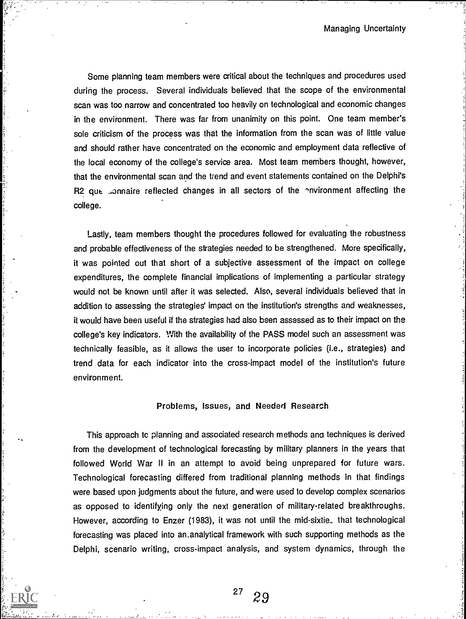Some planning team members were critical about the techniques and procedures used during the process. Several individuals believed that the scope of the environmental scan was too narrow and concentrated too heavily on technological and economic changes in the environment. There was far from unanimity on this point. One team member's sole criticism of the process was that the information from the scan was of little value and should rather have concentrated on the economic and employment data reflective of the local economy of the college's service area. Most team members thought, however, that the environmental scan and the trend and event statements contained on the Delphi's R2 que ...annaire reflected changes in all sectors of the  $\gamma$ nvironment affecting the college.

Lastly, team members thought the procedures followed for evaluating the robustness and probable effectiveness of the strategies needed to be strengthened. More specifically, it was pointed out that short of a subjective assessment of the impact on college expenditures, the complete financial implications of implementing a particular strategy would not be known until after it was selected. Also, several individuals believed that in addition to assessing the strategies' impact on the institution's strengths and weaknesses, it would have been useful if the strategies had also been assessed as to their impact on the college's key indicators. With the availability of the PASS model such an assessment was technically feasible, as it allows the user to incorporate policies (i.e., strategies) and trend data for each indicator into the cross-impact model of the institution's future environment.

## Problems, Issues, and Needed Research

This approach tc planning and associated research methods ana techniques is derived from the development of technological forecasting by military planners in the years that followed World War II in an attempt to avoid being unprepared for future wars. Technological forecasting differed from traditional planning methods in that findings were based upon judgments about the future, and were used to develop complex scenarios as opposed to identifying only the next generation of military-related breakthroughs. However, according to Enzer (1983), it was not until the mid-sixtie.\_ that technological forecasting was placed into an.analytical framework with such supporting methods as the Delphi, scenario writing, cross-impact analysis, and system dynamics, through the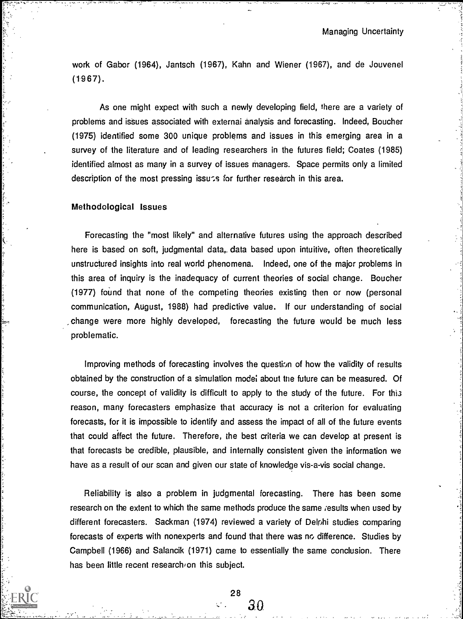work of Gabor (1964), Jantsch (1967), Kahn and Wiener (1967), and de Jouvenel  $(1967).$ 

As one might expect with such a newly developing field, there are a variety of problems and issues associated with externai analysis and forecasting. Indeed, Boucher (1975) identified some 300 unique problems and issues in this emerging area in a survey of the literature and of leading researchers in the futures field; Coates (1985) identified almost as many in a survey of issues managers. Space permits only a limited description of the most pressing issus for further research in this area.

## Methodological Issues

Forecasting the "most likely" and alternative futures using the approach described here is based on soft, judgmental data, data based upon intuitive, often theoretically unstructured insights into real world phenomena. Indeed, one of the major problems in this area of inquiry is the inadequacy of current theories of social change. Boucher (1977) found that none of the competing theories existing then or now (personal communication, August, 1988) had predictive value. If our understanding of social change were more highly developed, forecasting the future would be much less problematic.

Improving methods of forecasting involves the question of how the validity of results obtained by the construction of a simulation model about the future can be measured. Of course, the concept of validity is difficult to apply to the study of the future. For this reason, many forecasters emphasize that accuracy is not a criterion for evaluating forecasts, for it is impossible to identify and assess the impact of all of the future events that could affect the future. Therefore, the best criteria we can develop at present is that forecasts be credible, plausible, and internally consistent given the information we have as a result of our scan and given our state of knowledge vis-a-vis social change.

Reliability is also a problem in judgmental forecasting. There has been some research on the extent to which the same methods produce the same results when used by different forecasters. Sackman (1974) reviewed a variety of Delphi studies comparing forecasts of experts with nonexperts and found that there was no difference. Studies by Campbell (1966) and Salancik (1971) came to essentially the same conclusion. There has been little recent research/on this subject.

28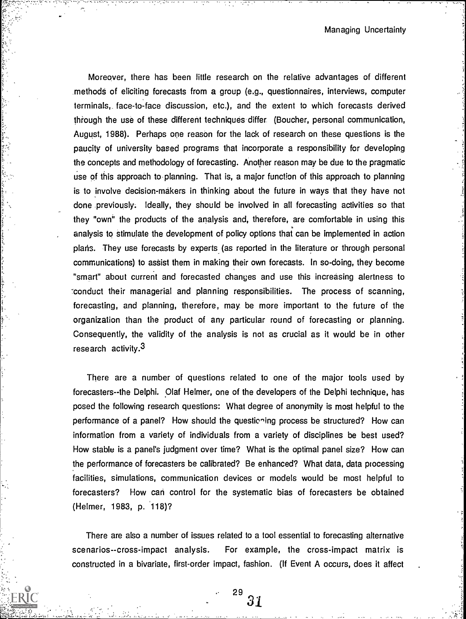Moreover, there has been little research on the relative advantages of different methods of eliciting forecasts from a group (e.g., questionnaires, interviews, computer terminals,. face-to-face discussion, etc.), and the extent to which forecasts derived thiough the use of these different techniques differ (Boucher, personal communication, August, 1988). Perhaps one reason for the lack of research on these questions is the paucity of university based programs that incorporate a responsibility for developing the concepts and methodology of forecasting. Another reason may be due to the pragmatic use of this approach to,planning. That is, a major function of this approach to planning is to involve decision-makers in thinking about the future in ways that they have not done previously. Ideally, they should be involved in all forecasting activities so that they "own" the products of the analysis and, therefore, are comfortable in using this analysis to stimulate the development of policy options that can be implemented in action plans. They use forecasts by experts (as reported in the literature or through personal communications) to assist them in making their own forecasts. In so-doing, they become "smart" about current and forecasted changes and use this increasing alertness to 'conduct their managerial and planning responsibilities. The process of scanning, forecasting, and planning, therefore, may. be more important to the future of the organization than the product of any particular round of forecasting or planning. Consequently, the validity of the analysis is not as crucial as it would be in other research activity.3

There are a number of questions related to one of the major tools used by forecasters--the Delphi. Olaf Helmer, one of the developers of the Delphi technique, has posed the following research questions: What degree of anonymity is most helpful to the performance of a panel? How should the questioning process be structured? How can information from a variety of individuals from a variety of disciplines be best used? How stable is a panel's judgment over time? What is the optimal panel size? How can the performance of forecasters be calibrated? Be enhanced? What data, data processing facilities, simulations, communication devices or models would be most helpful to forecasters? How can control for the systematic bias of forecasters be obtained (Helmer, 1983, p. '118)?

There are also a number of issues related to a tool essential to forecasting alternative scenarios--cross-impact analysis. For example, the cross-impact matrix is constructed in a bivariate, first-order impact, fashion. (If Event A occurs, does it affect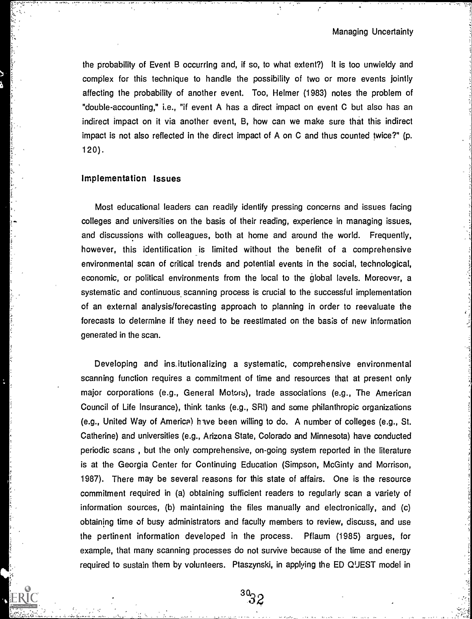the probability of Event B occurring and, if so, to what extent?) It is too unwieldy and complex for this technique to handle the possibility of two or more events jointly affecting the probability of another event. Too, Helmer (1983) notes the problem of "double-accounting," i.e., "if event A has a direct impact on event C but also has an indirect impact on it via another event, B, how can we make sure that this indirect impact is not also reflected in the direct impact of A on C and thus counted twice?" (p. 120) .

# Implementation Issues

Most educational leaders can readily identify pressing concerns and issues facing colleges and universities on the basis of their reading, experience in managing issues, and discussions with colleagues, both at home and around the world. Frequently, however, this identification is limited without the benefit of a comprehensive environmental scan of critical trends and potential events in the social, technological, economic, or political environments from the local to the global levels. Moreover, a systematic and continuous scanning process is crucial to the successful implementation of an external analysis/forecasting approach to planning in order to reevaluate the forecasts to determine if they need to be reestimated on the basis of new information generated in the scan.

Developing and insitutionalizing a systematic, comprehensive environmental scanning function requires a commitment of time and resources that at present only major corporations (e.g., General Motors), trade associations (e.g., The American Council of Life Insurance), think tanks (e.g., SRI) and some philanthropic organizations (e.g., United Way of America) have been willing to do. A number of colleges (e.g., St. Catherine) and universities (e.g., Arizona State, Colorado and Minnesota) have conducted periodic scans , but the only comprehensive, on-going system reported in the literature is at the Georgia Center for Continuing Education (Simpson, McGinty and Morrison, 1987). There may be several reasons for this state of affairs. One is the resource commitment required in (a) obtaining sufficient readers to regularly scan a variety of information sources, (b) maintaining the files manually and electronically, and (c) obtaining time of busy administrators and faculty members to review, discuss, and use the pertinent information developed in the process. Pflaum (1985) argues, for example, that many scanning processes do not survive because of the time and energy required to sustain them by volunteers. Ptaszynski, in applying the ED QUEST model in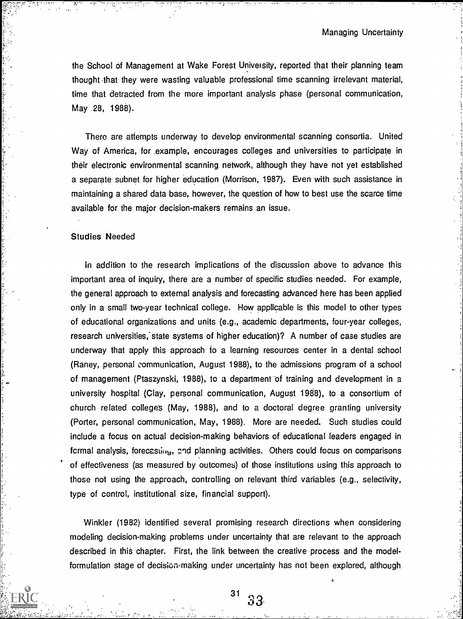the School of Management at Wake Forest Univeisity, reported that their planning team thought that they were wasting valuable professional time scanning irrelevant material, time that detracted from the more important analysis phase (personal communication, May 28, 1988).

There are attempts underway to develop environmental scanning consortia. United Way of America, for example, encourages colleges and universities to participate in their electronic environmental scanning network, although they have not yet established a separate subnet for higher education (Morrison, 1987). Even with such assistance in maintaining a shared data base, however, the question of how to best use the scarce time available for the major decision-makers remains an issue.

#### Studies Needed

In addition to the research implications of the discussion above to advance this important area of inquiry, there are a number of specific studies needed. For example, the general approach to external analysis and forecasting advanced here has been applied only in a small two-year technical college. How applicable is this model to other types of educational organizations and units (e.g., academic departments, four-year colleges, research universities,' state systems of higher education)? A number of case studies are underway that apply this approach to a learning resources center in a dental school (Raney, personal communication, August 1988), to the admissions program of a school of management (Ptaszynski, 1988), to a department of training and development in a university hospital (Clay, personal communication, August 1988), to a consortium of church related colleges (May, 1988), and to a doctoral degree granting university (Porter, personal communication, May, 1988). More are needed. Such studies could include a focus on actual decision-making behaviors of educational leaders engaged in formal analysis, forecasting, and planning activities. Others could focus on comparisons of effectiveness (as measured by outcomes) of those institutions using this approach to those not using the approach, controlling on relevant third variables (e.g., selectivity, type of control, institutional size, financial support).

Winkler (1982) identified several promising research directions when considering modeling decision-making problems under uncertainty that are relevant to the approach described in this chapter. First, the link between the creative process and the modelformulation stage of decision-making under uncertainty has not been explored, although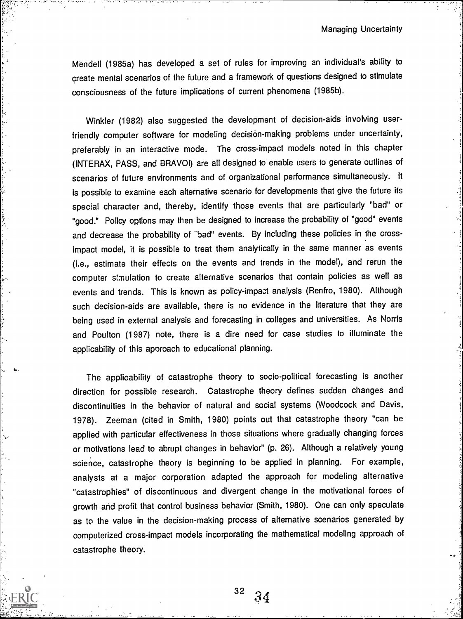Mendell (1985a) has developed a set of rules for improving an individual's ability to create mental scenarios of the future and a framework of questions designed to stimulate consciousness of the future implications of current phenomena (1985b).

Winkler (1982) also suggested the development of decision-aids involving userfriendly computer software for modeling decision-making problems under uncertainty, preferably in an interactive mode. The cross-impact models noted in this chapter (INTERAX, PASS, and BRAVOI) are all designed to enable users to generate outlines of scenarios of future environments and of organizational performance simultaneously. It is possible to examine each alternative scenario for developments that give the future its special character and, thereby, identify those events that are particularly "bad" or "good." Policy options may then be designed to increase the probability of "good" events and decrease the probability of 'bad" events. By including these policies in the crossimpact model, it is possible to treat them analytically in the same manner as events (i.e., estimate their effects on the events and trends in the model), and rerun the computer simulation to create alternative scenarios that contain policies as well as events and trends. This is known as policy-impact analysis (Renfro, 1980). Although such decision-aids are available, there is no evidence in the literature that they are being used in external analysis and forecasting in colleges and universities. As Norris and Poulton (1987) note, there is a dire need for case studies to illuminate the applicability of this aporoach to educational planning.

The applicability of catastrophe theory to socio-political forecasting is another direction for possible research. Catastrophe theory defines sudden changes and discontinuities in the behavior of natural and social systems (Woodcock and Davis, 1978). Zeeman (cited in Smith, 1980) points out that catastrophe theory "can be applied with particular effectiveness in those situations where gradually changing forces or motivations lead to abrupt changes in behavior" (p. 26). Although a relatively young science, catastrophe theory is beginning to be applied in planning. For example, analysts at a major corporation adapted the approach for modeling alternative "catastrophies" of discontinuous and divergent change in the motivational forces of growth and profit that control business behavior (Smith, 1980). One can only speculate as to the value in the decision-making process of alternative scenarios generated by computerized cross-impact models incorporating the mathematical modeling approach of catastrophe theory.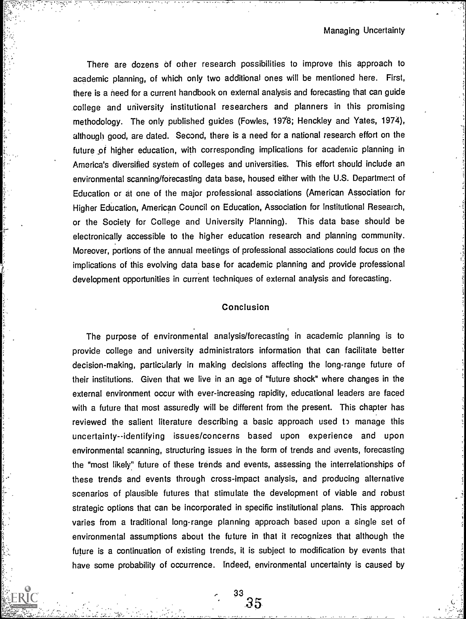There are dozens of other research possibilities to improve this approach to academic planning, of which only two additional ones will be mentioned here. First, there is a need for a current handbook on external analysis and forecasting that can guide college and university institutional researchers and planners in this promising methodology. The only published guides (Fowles, 1978; Henckley and Yates, 1974), although good, are dated. Second, there is a need for a national research effort on the future of higher education, with corresponding implications for academic planning in America's diversified system of colleges and universities. This effort should include an environmental scanning/forecasting data base, housed either with the U.S. Department of Education or at one of the major professional associations (American Association for Higher EdUcation, American Council on Education, Association for Institutional Research, or the Society for College and University Planning). This data base should be electronically accessible to the higher education research and planning community. Moreover, portions of the annual meetings of professional associations could focus on the implications of this evolving data base for academic planning and provide professional development opportunities in current techniques of external analysis and forecasting.

## Conclusion

The purpose of environmental analysis/forecasting in academic planning is to provide college and university administrators information that can facilitate better decision-making, particularly in making decisions affecting the long-range future of their institutions. Given that we live in an age of "future shock" where changes in the external environment occur with ever-increasing rapidity, educational leaders are faced with a future that most assuredly will be different from the present. This chapter has reviewed the salient literature describing a basic approach used to manage this uncertainty--identifying issues/concerns based upon experience and upon environmental scanning, structuring issues in the form of trends and events, forecasting the "most likely" future of these trends and events, assessing the interrelationships of these trends and events through cross-impact analysis, and producing alternative scenarios of plausible futures that stimulate the development of viable and robust strategic options that can be incorporated in specific institutional plans. This approach varies from a traditional long-range planning approach based upon a single set of environmental assumptions about the future in that it recognizes that although the future is a continuation of existing trends, it is subject to modification by events that have some probability of occurrence. Indeed, environmental uncertainty is caused by

> 33  $35<sub>2</sub>$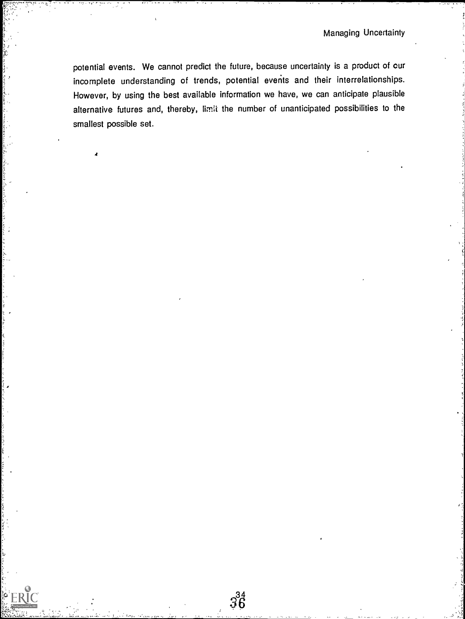potential events. We cannot predict the future, because uncertainty is a product of cur incomplete understanding of trends, potential events and their interrelationships. However, by using the best available information we have, we can anticipate plausible alternative futures and, thereby, limit the number of unanticipated possibilities to the smallest possible set.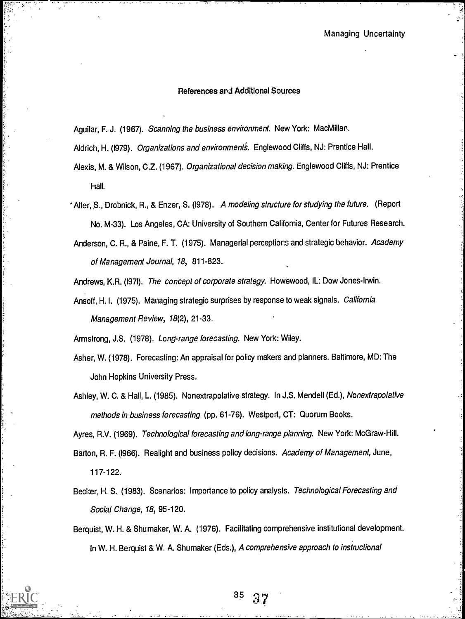#### References and Additional Sources

Aguilar, F. J. (1967). Scanning the business environment. New York: MacMillan.

Aldrich, H. (1979). Organizations and environments. Englewood Cliffs, NJ: Prentice Hall.

Alexis, M. & Wilson, C.Z. (1967). Organizational decision making. Englewood Cliffs, NJ: Prentice Hall.

' Alter, S., Drobnick, R., & Enzer, S. (1978). A modeling structure for studying the future. (Report No. M-33). Los Angeles, CA: University of Southern California, Center for Futures Research.

Anderson, C. R., & Paine, F. T. (1975). Managerial perceptions and strategic behavior. Academy of Management Journal, 18, 811-823.

Andrews, K.R. (1971). The concept of corporate strategy. Howewood, IL: Dow Jones-Irwin.

Ansoff, H. I. (1975). Managing strategic surprises by response to weak signals. California Management Review, 18(2), 21-33.

Armstrong, J.S. (1978). Long-range forecasting. New York: Wiley.

Asher, W. (1978). Forecasting: An appraisal for policy makers and planners. Baltimore, MD: The John Hopkins University Press.

Ashley, W. C. & Hall, L. (1985). Nonextrapolative strategy. In J.S. Mendell (Ed.), Nonextrapolative methods in business forecasting (pp. 61-76). Westport, CT: Quorum Books.

Ayres, R.V. (1969). Technological forecasting and long-range planning. New York: McGraw-Hill.

Barton, R. F. (1966). Realight and business policy decisions. Academy of Management, June,

117-122.

Becker, H. S. (1983). Scenarios: Importance to policy analysts. Technological Forecasting and Social Change, 18, 95-120.

Berquist, W. H. & Shumaker, W. A. (1976). Facilitating comprehensive institutional development. In W. H. Berquist & W. A. Shumaker (Eds.), A comprehensive approach to instructional

 $35 \frac{94}{7}$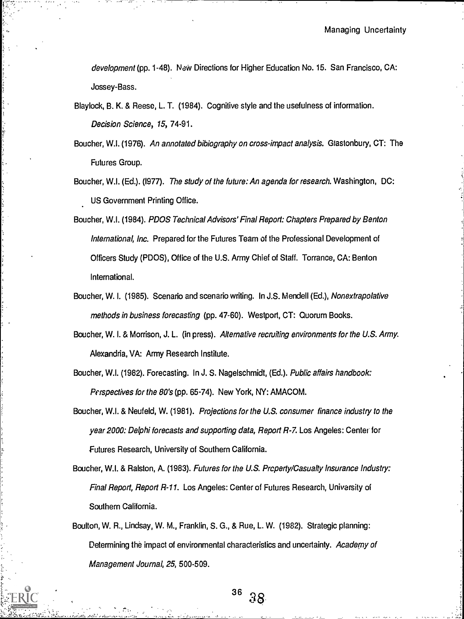development (pp. 1-48). New Directions for Higher Education No. 15. San Francisco, CA: Jossey-Bass.

- Blaylock, B. K. & Reese, L. T. (1984). Cognitive style and the usefulness of information. Decision Science, 15, 74-91.
- Boucher, W.I. (1976). An annotated bibiography on cross-impact analysis. Glastonbury, CT: The Futures Group.
- Boucher, W.I. (Ed.). (1977). The study of the future: An agenda for research. Washington, DC: US Government Printing Office.
- Boucher, W.I. (1984). PDOS Technical Advisors' Final Report: Chapters Prepared by Benton International, Inc. Prepared for the Futures Team of the Professional Development of Officers Study (PDOS), Office of the U.S. Army Chief of Staff. Torrance, CA: Benton International.
- Boucher, W. I. (1985). Scenario and scenario writing. In J.S. Mendell (Ed.), Nonextrapolative methods in business forecasting (pp. 47-60). Westport, CT: Quorum Books.
- Boucher, W. I. & Morrison, J. L. (in press). Alternative recruiting environments for the U.S. Army. Alexandria, VA: Army Research Institute.
- Boucher, W.I. (1982). Forecasting. In J. S. Nagelschmidt, (Ed.). Public affairs handbook: Prrspectives for the 80's (pp. 65-74). New York, NY: AMACOM.
- Boucher, W.I. & Neufeld, W. (1981). Projections for the U.S. consumer finance industry to the year 2000: Delphi forecasts and supporting data, Report R-7. Los Angeles: Center for Futures Research, University of Southern California.
- Boucher, W.I. & Ralston, A. (1983). Futures for the U.S. Prcperty/Casualty Insurance Industry: Final Report, Report R-11. Los Angeles: Center of Futures Research, University of Southern California.
- Boulton, W. R., Lindsay, W. M., Franklin, S. G., & Rue, L. W. (1982). Strategic planning: Determining the impact of environmental characteristics and uncertainty. Academy of Management Journal, 25, 500-509.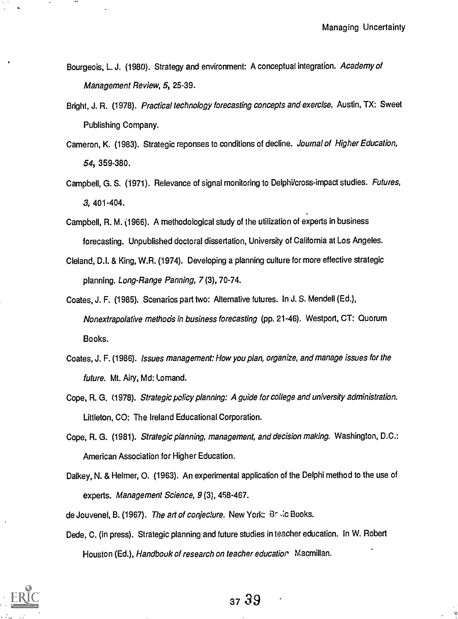- Bourgeois, L. J. (1980). Strategy and environment: A conceptual integration. Academy of Management Review, 5, 25-39.
- Bright, J. R. (1978). Practical technology forecasting concepts and exercise. Austin, TX: Sweet Publishing Company.
- Cameron, K. (1983). Strategic reponses to conditions of decline. Journal of Higher Education, 54, 359-380.
- Campbell, G. S. (1971). Relevance of signal monitoring to Delphi/cross-impact studies. Futures, 3, 401-404.
- Campbell, R. M. (1966). A methodological study of the utilization of experts in business forecasting. Unpublished doctoral dissertation, University of California at Los Angeles.
- Cleland, D.I. & King, W.R. (1974). Developing a planning culture for more effective strategic planning. Long-Range Panning, 7 (3), 70-74.
- Coates, J. F. (1985). Scenarios part two: Alternative futures. In J. S. Mendell (Ed.), Nonextrapolative methods in business forecasting (pp. 21-46). Westport, CT: Quorum Books.
- Coates, J. F. (1986). Issues management: How you plan, organize, and manage issues for the future. Mt. Airy, Md: Lomand.
- Cope, R. G. (1978). Strategic policy planning: A guide for college and university administration. Littleton, CO: The Ireland Educational Corporation.
- Cope, R. G. (1981). Strategic planning, management, and decision making. Washington, D.C.: American Association for Higher Education.
- Dalkey, N. & Helmer, 0. (1963). An experimental application of the Delphi method to the use of experts. Management Science, 9 (3), 458-467.
- de Jouvenel, B. (1967). The art of conjecture. New York:  $B \sim$  ic Books.
- Dede, C. (in press). Strategic planning and future studies in teacher education. In W. Robert Houston (Ed.), Handbook of research on teacher education Macmillan.

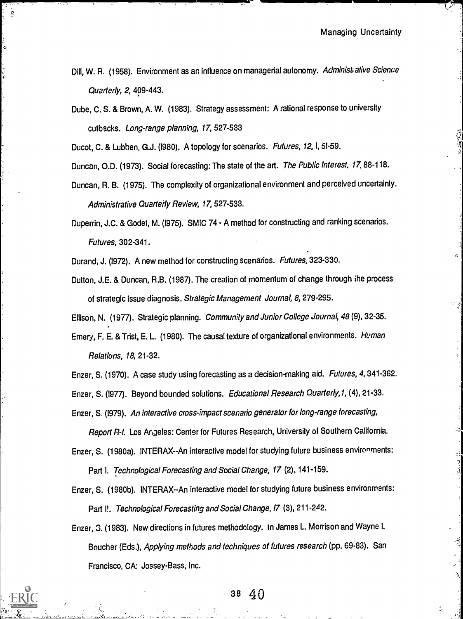Ĵ.

- Dill, W. R. (1958). Environment as an influence on managerial autonomy. Administi alive Science Quarterly, 2, 409-443.
- Dube, C. S. & Brown, A. W. (1983). Strategy assessment: A rational response to university cutbacks. Long-range planning, 17, 527-533

Ducot, C. & Lubben, G.J. (1980). A topology for scenarios. Futures, 12, I, 51-59.

ę

Duncan, O.D. (1973). Social forecasting: The state of the art. The Public Interest, 17. 88-118.

Duncan, R. B. (1975). The complexity of organizational environment and perceived uncertainty. Administrative Quarterly Review, 17, 527-533.

Duperrin, J.C. & Godet, M. (1975). SMIC 74 - A method for constructing and ranking scenarios. Futures, 302-341.

Durand, J. (1972). A new method for constructing scenarios. Futures, 323-330.

Dutton, J.E. & Duncan, R.B. (1987). The creation of momentum of change through the process of strategic issue diagnosis. Strategic Management Journal, 8, 279-295.

Ellison, N. (1977). Strategic planning. Community and Junior College Journal, 48 (9), 32-35.

Emery, F. E. & Trist, E. L. (1980). The causal texture of organizational environments. Human Relations, 18, 21-32.

Enzer, S. (1970). A case study using forecasting as a decision-making aid. Futures, 4, 341-362.

Enzer, S. (1977). Beyond bounded solutions. Educational Research Quarterly, 1, (4), 21-33.

Enzer, S. (1979). An interactive cross-impact scenario generator for long-range forecasting,

Report R-I. Los Angeles: Center for Futures Research, University of Southern California.

Enzer, S. (1980a). INTERAX--An interactive model for studying future business environments:

Part I. Technological Forecasting and Social Change, 17 (2), 141-159.

Enzer, S. (1980b). INTERAX--An interactive model for studying future business environments: Part I!. Technological Forecasting and Social Change, /7 (3), 211-242.

Enzer, 3. (1983). New directions in futures methodology. In James L. Morrison and Wayne 1. Bnucher (Eds.), Applying methods and techniques of futures research (pp. 69-83). San Francisco, CA: Jossey-Bass, Inc.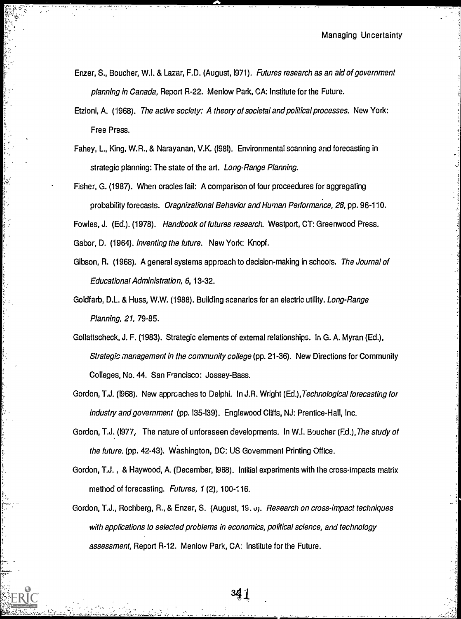- Enzer, S., Boucher, W.I. & Lazar, F.D. (August, 1971). Futures research as an aid of government planning in Canada, Report R-22. Menlow Park, CA: Institute for the Future.
- Etzioni, A. (1968). The active society: A theory of societal and political processes. New York: Free Press.
- Fahey, L., King, W.R., & Narayanan, V.K. (1981). Environmental scanning and forecasting in strategic planning: The state of the art. Long-Range Planning.

Fisher, G. (1987). When oracles fail: A comparison of four proceedures for aggregating probability forecasts. Oragnizational Behavior and Human Performance, 28, pp. 96-110.

Fowles, J. (Ed.). (1978). Handbook of futures research. Westport, CT: Greenwood Press.

Gabor, D. (1964). Inventing the future. New York: Knopf.

- Gibson, R. (1968). A general systems approach to decision-making in schools. The Journal of Educational Administration, 6, 13-32.
- Goldfarb, D.L. & Huss, W.W. (1988). Building scenarios for an electric utility. Long-Range Planning, 21, 79-85.
- Gollattscheck, J. F. (1983). Strategic elements of external relationships. In G. A. Myran (Ed.), Strategic management in the community college (pp. 21-36). New Directions for Community Colleges, No. 44. San Francisco: Jossey-Bass.
- Gordon, T.J. (1968). New approaches to Delphi. In J.R. Wright (Ed.), Technological forecasting for industry and government (pp.135-139). Englewood Cliffs, NJ: Prentice-Hall, Inc.
- Gordon, T.J. (1977, The nature of unforeseen developments. In W.I. Boucher (Ed.), The study of the future. (pp. 42-43). Washington, DC: US Government Printing Office.
- Gordon, T.J. , & Haywood, A. (December, 1968). Intitial experiments with the cross-impacts matrix method of forecasting. Futures, 1(2), 100-116.
- Gordon, T.J., Rochberg, R., & Enzer, S. (August, 19. u). Research on cross-impact techniques with applications to selected problems in economics, political science, and technology assessment, Report R-12. Menlow Park, CA: Institute for the Future.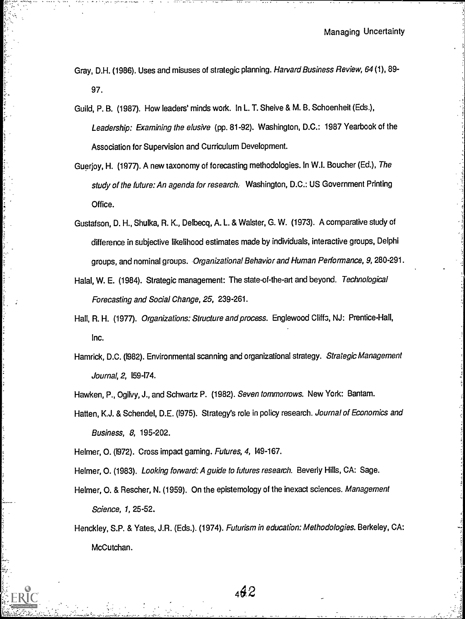- Gray, D.H. (1986). Uses and misuses of strategic planning. Harvard Business Review, 64 (1), 89- 97.
- Guild, P. B. (1987). How leaders' minds work. In L. T. Shelve & M. B. Schoenheit (Eds.), Leadership: Examining the elusive (pp. 81-92). Washington, D.C.: 1987 Yearbook of the Association for Supervision and Curriculum Development.
- Guerjoy, H. (1977). A new taxonomy of forecasting methodologies. In W.I. Boucher (Ed.), The study of the future: An agenda for research. Washington, D.C.: US Government Printing Office.
- Gustafson, D. H., Shulka, R. K., Delbecq, A. L. & Walster, G. W. (1973). A comparative study of difference in subjective likelihood estimates made by individuals, interactive groups, Delphi groups, and nominal groups. Organizational Behavior and Human Performance, 9, 280-291.
- Halal, W. E. (1984). Strategic management: The state-of-the-art and beyond. Technological Forecasting and Social Change, 25, 239-261.
- Hall, R. H. (1977). Organizations: Structure and process. Englewood Cliffs, NJ: Prentice-Hall, Inc.
- Hamrick, D.C. (1982). Environmental scanning and organizational strategy. Strategic Management Journal, 2, 159-174.

Hawken, P., Ogilvy, J., and Schwartz P. (1982). Seven tommorrows. New York: Bantam.

Hatten, K.J. & Schendel, D.E. (1975). Strategy's role in policy research. Journal of Economics and Business, 8, 195-202.

Helmer, 0. (1972). Cross impact gaming. Futures, 4, 149-167.

Helmer, O. (1983). Looking forward: A guide to futures research. Beverly Hills, CA: Sage.

Helmer, O. & Rescher, N. (1959). On the epistemology of the inexact sciences. Management Science, 1, 25-52.

Henckley, S.P. & Yates, J.R. (Eds.). (1974). Futurism in education: Methodologies. Berkeley, CA: McCutchan.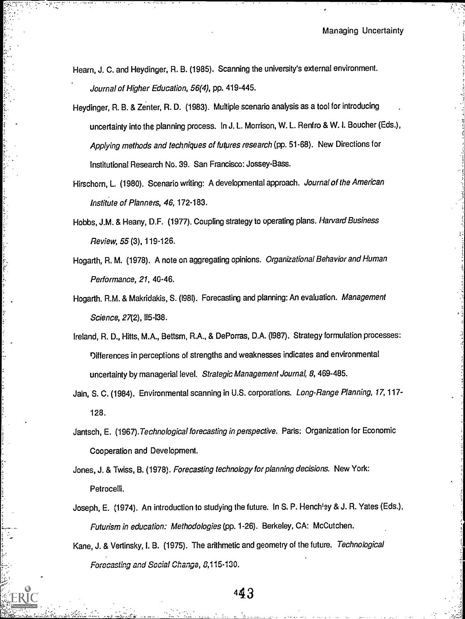- Hearn, J. C. and Heydinger, R. B. (1985). Scanning the university's external environment. Journal of Higher Education, 56(4), pp. 419-445.
- Heydinger, R. B. & Zenter, R. D. (1983). Multiple scenario analysis as a tool for introducing uncertainty into the planning process. In J. L. Morrison, W. L. Renfro & W. I. Boucher (Eds.), Applying methods and techniques of futures research (pp. 51-68). New Directions for Institutional Research No. 39. San Francisco: Jossey-Bass.
- Hirschorn, L. (1980). Scenario writing: A developmental approach. Journal of the American Institute of Planners, 46, 172-183.
- Hobbs, J.M. & Heany, D.F. (1977). Coupling strategy to operating plans. Harvard Business Review, 55 (3), 119-126.
- Hogarth, R. M. (1978). A note on aggregating opinions. Organizational Behavior and Human Performance, 21, 40-46.
- Hogarth. R.M. & Makridakis, S. (1981). Forecasting and planning: An evaluation. Management Science, 27(2), 115-138.
- Ireland, R. D., Hitts, M.A., Bettsm, R.A., & DePorras, D.A. (1987). Strategy formulation processes: Differences in perceptions of strengths and weaknesses indicates and environmental uncertainty by managerial level. Strategic Management Journal, 8, 469-485.
- Jain, S. C. (1984). Environmental scanning in U.S. corporations. Long-Range Planning, 17, 117-128.
- Jantsch, E. (1967). Technological forecasting in perspective. Paris: Organization for Economic Cooperation and Development.
- Jones, J. & Twiss, B. (1978). Forecasting technology for planning decisions. New York: Petrocelli.
- Joseph, E. (1974). An introduction to studying the future. In S. P. Hench'sy & J. R. Yates (Eds.), Futurism in education: Methodologies (pp. 1-26). Berkeley, CA: McCutchen.
- Kane, J. & Vertinsky, I. B. (1975). The arithmetic and geometry of the future. Technological Forecasting and Social Change, 0,115-130.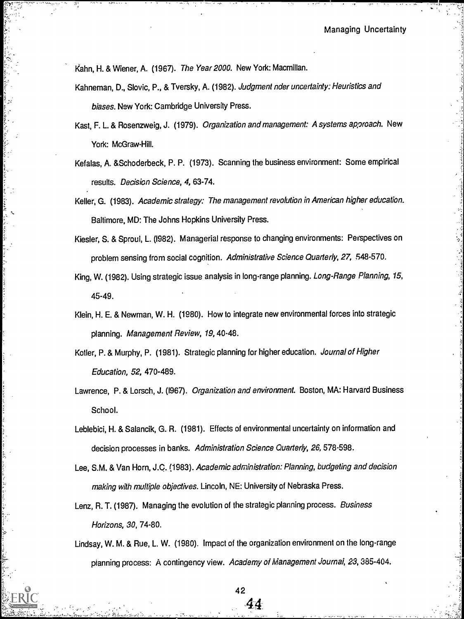Kahn, H. & Wiener, A. (1967). The Year 2000. New York: Macmillan.

- Kahneman, D., Slovic, P., & Tversky, A. (1982). Judgment nder uncertainty: Heuristics and biases. New York: Cambridge University Press.
- Kast, F. L. & Rosenzweig, J. (1979). Organization and management: A systems approach. New York: McGraw-Hill.
- Kefalas, A. &Schoderbeck, P. P. (1973). Scanning the business environment: Some empirical results. Decision Science, 4, 63-74.
- Keller, G. (1983). Academic strategy: The management revolution in American higher education. Baltimore, MD: The Johns Hopkins University Press.
- Kiesler, S. & Sproul, L. (1982). Managerial response to changing environments: Perspectives on problem sensing from social cognition. Administrative Science Quarterly, 27, 548-570.
- King, W. (1982). Using strategic issue analysis in long-range planning. Long-Range Planning, 15, 45-49.
- Klein, H. E. & Newman, W. H. (1980). How to integrate new environmental forces into strategic planning. Management Review, 19, 40-48.
- Kotler, P. & Murphy, P. (1981). Strategic planning for higher education. Journal of Higher Education, 52, 470-489.
- Lawrence, P. & Lorsch, J. (1967). Organization and environment. Boston, MA: Harvard Business School.
- Leblebici, H. & Salancik, G. R. (1981). Effects of environmental uncertainty on information and decision processes in banks. Administration Science Quarterly, 26, 578-598.
- Lee, S.M. & Van Horn, J.C. (1983). Academic administration: Planning, budgeting and decision making with multiple objectives. Lincoln, NE: University of Nebraska Press.
- Lenz, R. T. (1987). Managing the evolution of the strategic planning process. Business Horizons, 30, 74-80.
- Lindsay, W. M. & Rue, L. W. (1980). Impact of the organization environment on the long-range pianning process: A contingency view. Academy of Management Journal, 23, 385-404.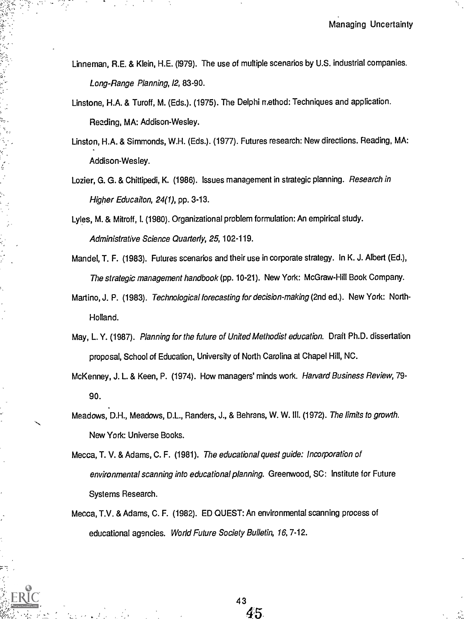- Linneman, R.E. & Klein, H.E. (1979). The use of multiple scenarios by U.S. industrial companies. Long-Range Planning, 12, 83-90.
- Linstone, H.A. & Turoff, M. (Eds.). (1975). The Delphi method: Techniques and application. Reading, MA: Addison-Wesley.
- Linston, H.A. & Simmonds, W.H. (Eds.). (1977). Futures research: New directions. Reading, MA: Addison-Wesley.
- Lozier, G. G. & Chittipedi, K. (1986). Issues management in strategic planning. Research in Higher Educaiton, 24(1), pp. 3-13.
- Lyles, M. & Mitroff, I. (1980). Organizational problem formulation: An empirical study. Administrative Science Quarterly, 25, 102-119.
- Mandel, T. F. (1983). Futures scenarios and their use in corporate strategy. In K. J. Albert (Ed.), The strategic management handbook (pp. 10-21). New York: McGraw-Hill Book Company.
- Martino, J. P. (1983). Technological forecasting for decision-making (2nd ed.). New York: North-Holland.
- May, L. Y. (1987). Planning for the future of United Methodist education. Draft Ph.D. dissertation proposal, School of Education, University of North Carolina at Chapel Hill, NC.
- McKenney, J. L. & Keen, P. (1974). How managers' minds work. Harvard Business Review, 79- 90.
- Meadows, D.H., Meadows, D.L., Randers, J., & Behrens, W. W. III. (1972). The limits to growth. New York: Universe Books.
- Mecca, T. V. & Adams, C. F. (1981). The educational quest guide: Incorporation of environmental scanning into educational planning. Greenwood, SC: Institute for Future Systems Research.
- Mecca, T.V. & Adams, C. F. (1982). ED QUEST: An environmental scanning process of educational agencies. World Future Society Bulletin, 16, 7-12.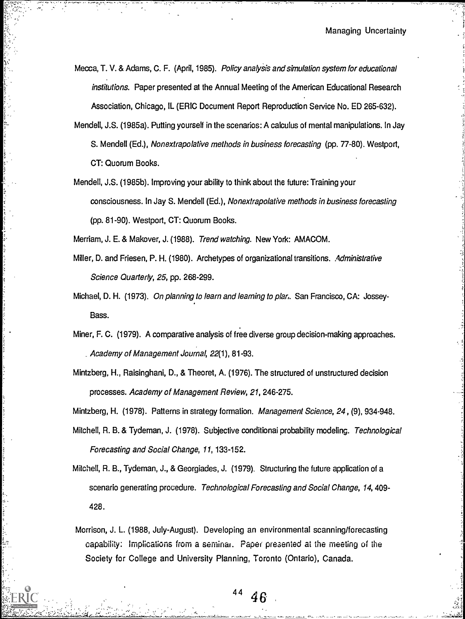- Mecca, T. V. & Adams, C. F. (April, 1985). Policy analysis and simulation system for educational institutions. Paper presented at the Annual Meeting of the American Educational Research Association, Chicago, IL (ERIC Document Report Reproduction Service No. ED 265-632).
- Mendell, J.S. (1985a). Putting yourself in the scenarios: A calculus of mental manipulations. In Jay S. Mendell (Ed.), Nonextrapolative methods in business forecasting (pp. 77-80). Westport, CT: Quorum Books.
- Mendell, J.S. (1985b). Improving your ability to think about the future: Training your consciousness. In Jay S. Mendell (Ed.), Nonextrapolative methods in business forecasting (pp. 81-90). Westport, CT: Quorum Books.

Merriam, J. E. & Makover, J. (1988). Trend watching. New York: AMACOM.

- Miller, D. and Friesen, P. H. (1980). Archetypes of organizational transitions. Administrative Science Quarterly, 25, pp. 268-299.
- Michael, D. H. (1973). On planning to learn and learning to plar.. San Francisco, CA: Jossey-Bass.
- Miner, F. C. (1979). A comparative analysis of free diverse group decision-making approaches. \_ Academy of Management Journal, 22(1), 81-93.
- Mintzberg, H., Raisinghani, D., & Theoret, A. (1976). The structured of unstructured decision processes. Academy of Management Review, 21, 246-275.

Mintzberg, H. (1978). Patterns in strategy formation. Management Science, 24, (9), 934-948.

- Mitchell, R. B. & Tydeman, J. (1978). Subjective conditional probability modeling. Technological Forecasting and Social Change, 11, 133-152.
- Mitchell, R. B., Tydeman, J., & Georgiades, J. (1979). Structuring the future application of a scenario generating procedure. Technological Forecasting and Social Change, 14, 409- 428.
- Morrison, J. L. (1988, July-August). Developing an environmental scanning/forecasting capability: Implications from a seminar. Paper pre3erited at the meeting of the Society for College and University Planning, Toronto (Ontario), Canada.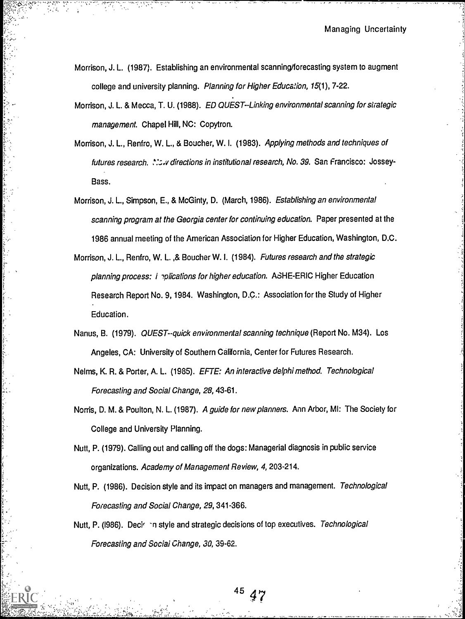- Morrison, J. L. (1987). Establishing an environmental scanning/forecasting system to augment college and university planning. Planning for Higher Education, 15(1), 7-22.
- Morrison, J. L. & Mecca, T. U. (1988). ED QUEST--Linking environmental scanning for strategic management. Chapel Hill, NC: Copytron.
- Morrison, J. L., Renfro, W. L., & Boucher, W. I. (1983). Applying methods and techniques of futures research.  $\therefore$  v directions in institutional research, No. 39. San Francisco: Jossey-Bass.
- Morrison, J. L., Simpson, E., & McGinty, D. (March, 1986). Establishing an environmental scanning program at the Georgia center for continuing education. Paper presented at the 1986 annual meeting of the American Association for Higher Education, Washington, D.C.
- Morrison, J. L., Renfro, W. L. ,& Boucher W. I. (1984). Futures research and the strategic planning process: *I pplications for higher education*. ASHE-ERIC Higher Education Research Report No. 9, 1984. Washington, D.C.: Association for the Study of Higher Education.
- Nanus, B. (1979). QUEST--quick environmental scanning technique (Report No. M34). Los Angeles, CA: University of Southern California, Center for Futures Research.
- Nelms, K. R. & Porter, A. L. (1985). EFTE: An interactive delphi method. Technological Forecasting and Social Change, 28, 43-61.
- Norris, D. M. & Poulton, N. L. (1987). A guide for new planners. Ann Arbor, MI: The Society for College and University Planning.
- Nutt, P. (1979). Calling out and calling off the dogs: Managerial diagnosis in public service organizations. Academy of Management Review, 4, 203-214.
- Nutt, P. (1986). Decision style and its impact on managers and management. Technological Forecasting and Social Change, 29, 341-366.
- Nutt, P. (1986). Deci' 'n style and strategic decisions of top executives. Technological Forecasting and Social Change, 30, 39-62.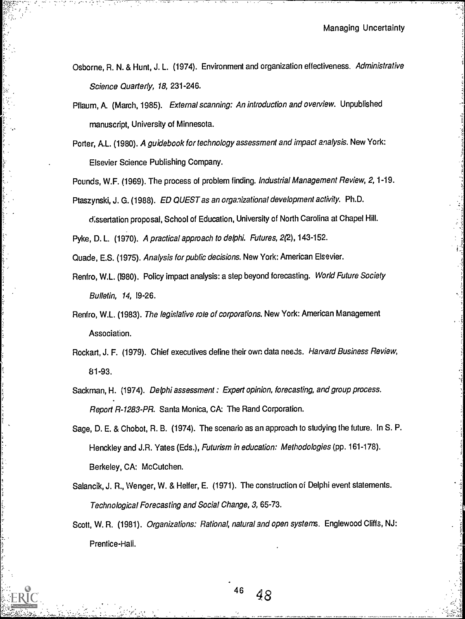- Osborne, R. N. & Hunt, J. L. (1974). Environment and organization effectiveness. Administrative Science Quarterly, 18, 231-246.
- Pflaum, A. (March, 1985). External scanning: An introduction and overview. Unpublished manuscript, University of Minnesota.
- Porter, A.L. (1980). A guidebook for technology assessment and impact analysis. New York: Elsevier Science Publishing Company.

Pounds, W.F. (1969). The process of problem finding. Industrial Management Review, 2, 1-19.

Ptaszynski, J. G. (1988). ED QUEST as an organizational development activity. Ph.D.

dissertation proposal, School of Education, University of North Carolina at Chapel Hill.

Pyke, D. L. (1970). A practical approach to delphi. Futures, 2(2), 143-152.

Quade, E.S. (1975). Analysis for public decisions. New York: American Elsevier.

- Renfro, W.L. (1980). Policy impact analysis: a step beyond forecasting. World Future Society Bulletin, 14, 19-26.
- Renfro, W.L. (1983). The legislative role of corporations. New York: American Management Association.
- Rockart, J. F. (1979). Chief executives define their own data needs. Harvard Business Review, 81-93.
- Sackman, H. (1974). Delphi assessment : Expert opinion, forecasting, and group process. Report R-1283-PR. Santa Monica, CA: The Rand Corporation.
- Sage, D. E. & Chobot, R. B. (1974). The scenario as an approach to studying the future. In S. P. Henckley and J.R. Yates (Eds.), Futurism in education: Methodologies (pp. 161-178). Berkeley, CA: McCutchen.
- Salancik, J. R., Wenger, W. & Helfer, E. (1971). The construction of Delphi event statements. Technological Forecasting and Social Change, 3, 65-73.
- Scott, W. R. (1981). Organizations: Rational, natural and open systems. Englewood Cliffs, NJ: Prentice-Hall.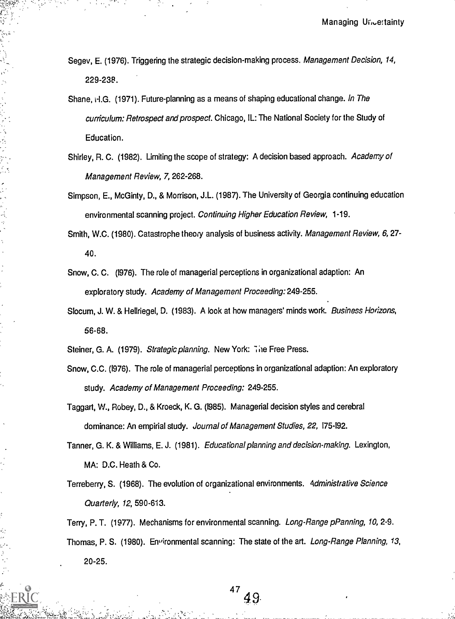- Segev, E. (1976). Triggering the strategic decision-making process. Management Decision, 14, 229-238.
- Shane, i-1.G. (1971). Future-planning as a means of shaping educational change. In The curriculum: Retrospect and prospect. Chicago, IL: The National Society for the Study of Education.
- Shirley, R. C. (1982). Limiting the scope of strategy: A decision based approach. Academy of Management Review, 7, 262-268.
- Simpson, E., McGinty, D., & Morrison, J.L. (1987). The University of Georgia continuing education environmental scanning project. Continuing Higher Education Review, 1-19.
- Smith, W.C. (1980). Catastrophe theory analysis of business activity. Management Review, 6. 27-40.
- Snow, C. C. (1976). The role of managerial perceptions in organizational adaption: An exploratory study. Academy of Management Proceeding: 249-255.
- Slocum, J. W. & Hellriegel, D. (1983). A look at how managers' minds work. Business Horizons, 56-68.

Steiner, G. A. (1979). Strategic planning. New York: The Free Press.

- Snow, C.C. (1976). The role of managerial perceptions in organizational adaption: An exploratory study. Academy of Management Proceeding: 249-255.
- Taggart, W., Robey, D., & Kroeck, K. G. (1985). Managerial decision styles and cerebral dominance: An empirial study. Journal of Management Studies, 22, 175-192.
- Tanner, G. K. & Williams, E. J. (1981). Educational planning and decision-making. Lexington, MA: D.C. Heath & Co.
- Terreberry, S. (1968). The evolution of organizational environments. Administrative Science Quarterly, 12, 590-613.

Terry, P. T. (1977). Mechanisms for environmental scanning. Long-Range pPanning, 10, 2-9. Thomas, P. S. (1980). Environmental scanning: The state of the art. Long-Range Planning, 13, 20-25.

<u>g</u>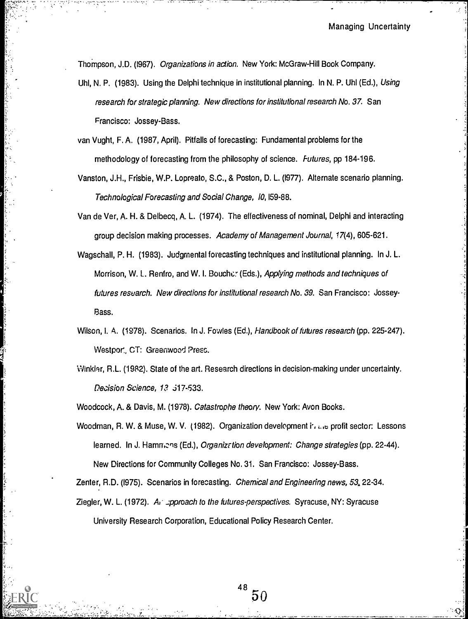Thompson, J.D. (1967). Organizations in action. New York: McGraw-Hill Book Company.

- Uhl, N. P. (1983). Using the Delphi technique in institutional planning. In N. P. Uhl (Ed.), Using research for strategic planning. New directions for institutional research No. 37. San Francisco: Jossey-Bass.
- van Vught, F. A. (1987, April). Pitfalls of forecasting: Fundamental problems for the methodology of forecasting from the philosophy of science. *Futures*, pp 184-196.
- Vanston, J.H., Frisbie, W.F. Lopreato, S.C., & Poston, D. L. (1977). Alternate scenario planning. Technological Forecasting and Social Change, 10, 159-88.
- Van de Ver, A. H. & Delbecq, A. L. (1974). The effectiveness of nominal, Delphi and interacting group decision making processes. Academy of Management Journal, 17(4), 605-621.
- Wagschall, P. H. (1983). Judgmental forecasting techniques and institutional planning. In J. L. Morrison, W. L. Renfro, and W. I. Boucher (Eds.), Applying methods and techniques of futures research. New directions for institutional research No. 39. San Francisco: Jossey-Bass.
- Wilson, i. A. (1978). Scenarios. In J. Fowles (Ed.), Handbook of futures research (pp. 225-247). Westpor., CT: Greenwood Press.
- Winkler, R.L. (1982). State of the art. Research directions in decision-making under uncertainty. Decision Science, 13 317-533.

Woodcock, A. & Davis, M. (1978). Catastrophe theory. New York: Avon Books.

Woodman, R. W. & Muse, W. V. (1982). Organization development  $\dot{r}_i$ ,  $\dot{r}_e$  profit sector: Lessons learned. In J. Hammens (Ed.), Organization development: Change strategies (pp. 22-44). New Directions for Community Colleges No. 31. San Francisco: Jossey-Bass.

Zenter, R.D. (1975). Scenarios in forecasting. Chemical and Engineering news, 53, 22-34.

Ziegler, W. L. (1972).  $A_i$  ... pproach to the futures-perspectives. Syracuse, NY: Syracuse University Research Corporation, Educational Policy Research Center.